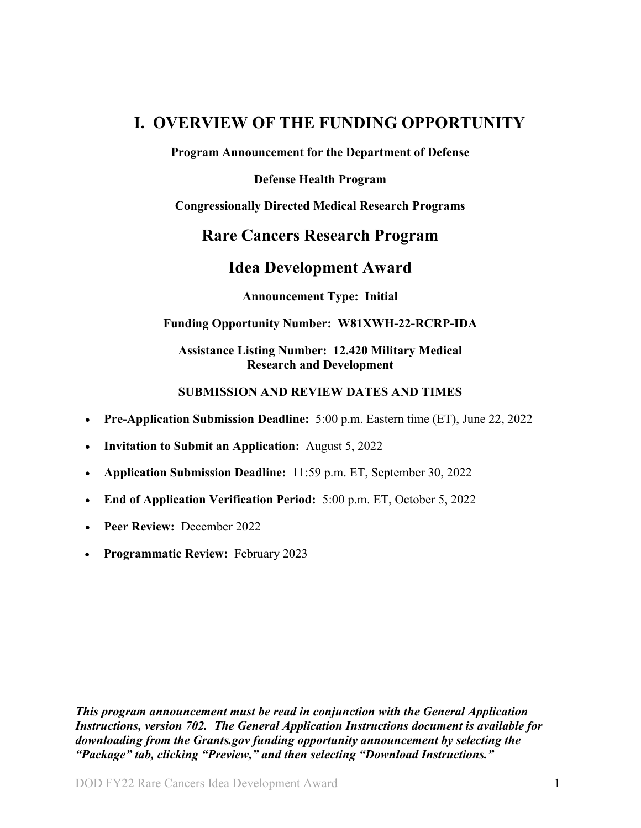# <span id="page-0-0"></span>**I. OVERVIEW OF THE FUNDING OPPORTUNITY**

**Program Announcement for the Department of Defense**

**Defense Health Program**

**Congressionally Directed Medical Research Programs**

# **Rare Cancers Research Program**

# **Idea Development Award**

**Announcement Type: Initial**

#### **Funding Opportunity Number: W81XWH-22-RCRP-IDA**

### **Assistance Listing Number: 12.420 Military Medical Research and Development**

#### **SUBMISSION AND REVIEW DATES AND TIMES**

- <span id="page-0-1"></span>• **Pre-Application Submission Deadline:** 5:00 p.m. Eastern time (ET), June 22, 2022
- **Invitation to Submit an Application:** August 5, 2022
- **Application Submission Deadline:** 11:59 p.m. ET, September 30, 2022
- **End of Application Verification Period:** 5:00 p.m. ET, October 5, 2022
- **Peer Review:** December 2022
- **Programmatic Review:** February 2023

*This program announcement must be read in conjunction with the General Application Instructions, version 702.**The General Application Instructions document is available for downloading from the Grants.gov funding opportunity announcement by selecting the "Package" tab, clicking "Preview," and then selecting "Download Instructions."*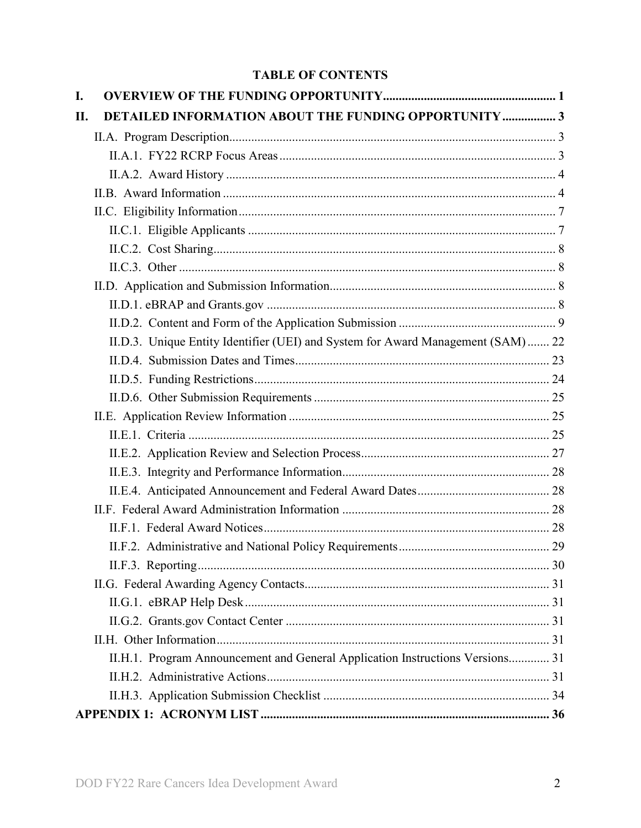# **TABLE OF CONTENTS**

| I.  |                                                                                  |  |
|-----|----------------------------------------------------------------------------------|--|
| II. | <b>DETAILED INFORMATION ABOUT THE FUNDING OPPORTUNITY  3</b>                     |  |
|     |                                                                                  |  |
|     |                                                                                  |  |
|     |                                                                                  |  |
|     |                                                                                  |  |
|     |                                                                                  |  |
|     |                                                                                  |  |
|     |                                                                                  |  |
|     |                                                                                  |  |
|     |                                                                                  |  |
|     |                                                                                  |  |
|     |                                                                                  |  |
|     | II.D.3. Unique Entity Identifier (UEI) and System for Award Management (SAM)  22 |  |
|     |                                                                                  |  |
|     |                                                                                  |  |
|     |                                                                                  |  |
|     |                                                                                  |  |
|     |                                                                                  |  |
|     |                                                                                  |  |
|     |                                                                                  |  |
|     |                                                                                  |  |
|     |                                                                                  |  |
|     |                                                                                  |  |
|     |                                                                                  |  |
|     |                                                                                  |  |
|     |                                                                                  |  |
|     |                                                                                  |  |
|     |                                                                                  |  |
|     |                                                                                  |  |
|     | II.H.1. Program Announcement and General Application Instructions Versions 31    |  |
|     |                                                                                  |  |
|     |                                                                                  |  |
|     |                                                                                  |  |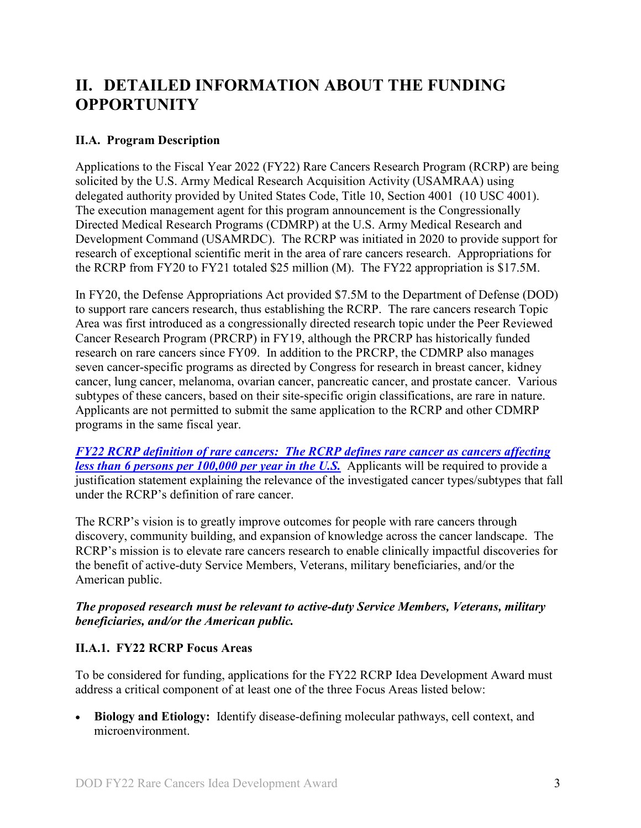# <span id="page-2-0"></span>**II. DETAILED INFORMATION ABOUT THE FUNDING OPPORTUNITY**

# <span id="page-2-1"></span>**II.A. Program Description**

Applications to the Fiscal Year 2022 (FY22) Rare Cancers Research Program (RCRP) are being solicited by the U.S. Army Medical Research Acquisition Activity (USAMRAA) using delegated authority provided by United States Code, Title 10, Section 4001 (10 USC 4001). The execution management agent for this program announcement is the Congressionally Directed Medical Research Programs (CDMRP) at the U.S. Army Medical Research and Development Command (USAMRDC). The RCRP was initiated in 2020 to provide support for research of exceptional scientific merit in the area of rare cancers research. Appropriations for the RCRP from FY20 to FY21 totaled \$25 million (M). The FY22 appropriation is \$17.5M.

In FY20, the Defense Appropriations Act provided \$7.5M to the Department of Defense (DOD) to support rare cancers research, thus establishing the RCRP. The rare cancers research Topic Area was first introduced as a congressionally directed research topic under the Peer Reviewed Cancer Research Program (PRCRP) in FY19, although the PRCRP has historically funded research on rare cancers since FY09. In addition to the PRCRP, the CDMRP also manages seven cancer-specific programs as directed by Congress for research in breast cancer, kidney cancer, lung cancer, melanoma, ovarian cancer, pancreatic cancer, and prostate cancer. Various subtypes of these cancers, based on their site-specific origin classifications, are rare in nature. Applicants are not permitted to submit the same application to the RCRP and other CDMRP programs in the same fiscal year.

<span id="page-2-3"></span>*FY22 [RCRP definition of rare cancers: The RCRP defines rare cancer as cancers affecting](https://cdmrp.army.mil/rcrp/default)  [less than 6 persons per 100,000 per year in the U.S.](https://cdmrp.army.mil/rcrp/default)* Applicants will be required to provide a justification statement explaining the relevance of the investigated cancer types/subtypes that fall under the RCRP's definition of rare cancer.

The RCRP's vision is to greatly improve outcomes for people with rare cancers through discovery, community building, and expansion of knowledge across the cancer landscape. The RCRP's mission is to elevate rare cancers research to enable clinically impactful discoveries for the benefit of active-duty Service Members, Veterans, military beneficiaries, and/or the American public.

#### *The proposed research must be relevant to active-duty Service Members, Veterans, military beneficiaries, and/or the American public.*

### <span id="page-2-2"></span>**II.A.1. FY22 RCRP Focus Areas**

To be considered for funding, applications for the FY22 RCRP Idea Development Award must address a critical component of at least one of the three Focus Areas listed below:

• **Biology and Etiology:** Identify disease-defining molecular pathways, cell context, and microenvironment.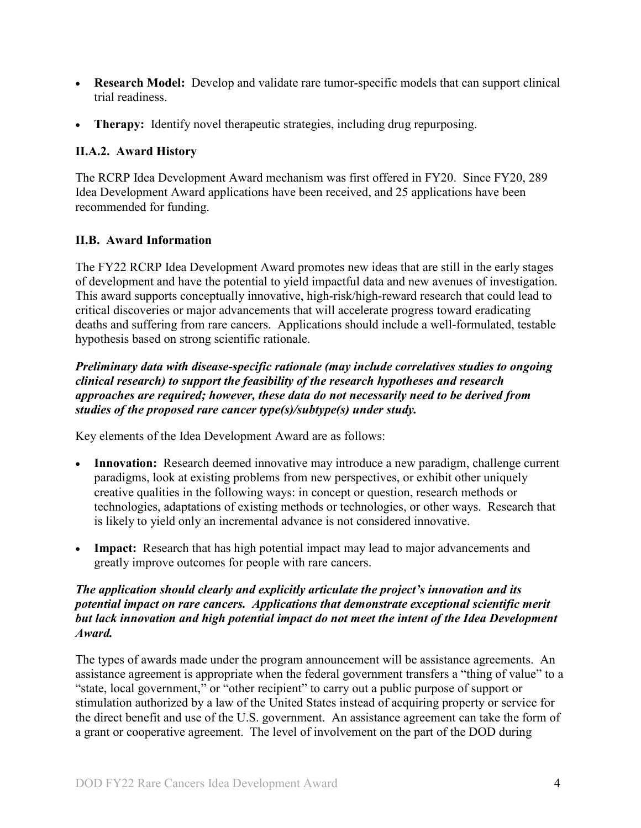- **Research Model:** Develop and validate rare tumor-specific models that can support clinical trial readiness.
- **Therapy:** Identify novel therapeutic strategies, including drug repurposing.

# <span id="page-3-0"></span>**II.A.2. Award History**

The RCRP Idea Development Award mechanism was first offered in FY20. Since FY20, 289 Idea Development Award applications have been received, and 25 applications have been recommended for funding.

# <span id="page-3-1"></span>**II.B. Award Information**

The FY22 RCRP Idea Development Award promotes new ideas that are still in the early stages of development and have the potential to yield impactful data and new avenues of investigation. This award supports conceptually innovative, high-risk/high-reward research that could lead to critical discoveries or major advancements that will accelerate progress toward eradicating deaths and suffering from rare cancers. Applications should include a well-formulated, testable hypothesis based on strong scientific rationale.

*Preliminary data with disease-specific rationale (may include correlatives studies to ongoing clinical research) to support the feasibility of the research hypotheses and research approaches are required; however, these data do not necessarily need to be derived from studies of the proposed rare cancer type(s)/subtype(s) under study.*

Key elements of the Idea Development Award are as follows:

- **Innovation:** Research deemed innovative may introduce a new paradigm, challenge current paradigms, look at existing problems from new perspectives, or exhibit other uniquely creative qualities in the following ways: in concept or question, research methods or technologies, adaptations of existing methods or technologies, or other ways. Research that is likely to yield only an incremental advance is not considered innovative.
- **Impact:** Research that has high potential impact may lead to major advancements and greatly improve outcomes for people with rare cancers.

#### *The application should clearly and explicitly articulate the project's innovation and its potential impact on rare cancers. Applications that demonstrate exceptional scientific merit but lack innovation and high potential impact do not meet the intent of the Idea Development Award.*

The types of awards made under the program announcement will be assistance agreements. An assistance agreement is appropriate when the federal government transfers a "thing of value" to a "state, local government," or "other recipient" to carry out a public purpose of support or stimulation authorized by a law of the United States instead of acquiring property or service for the direct benefit and use of the U.S. government. An assistance agreement can take the form of a grant or cooperative agreement. The level of involvement on the part of the DOD during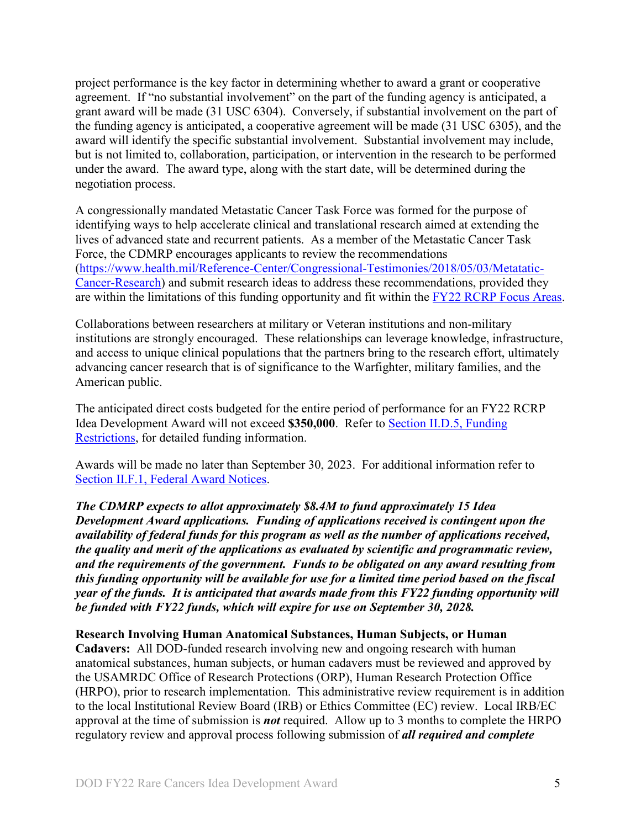project performance is the key factor in determining whether to award a grant or cooperative agreement. If "no substantial involvement" on the part of the funding agency is anticipated, a grant award will be made (31 USC 6304). Conversely, if substantial involvement on the part of the funding agency is anticipated, a cooperative agreement will be made (31 USC 6305), and the award will identify the specific substantial involvement. Substantial involvement may include, but is not limited to, collaboration, participation, or intervention in the research to be performed under the award. The award type, along with the start date, will be determined during the negotiation process.

A congressionally mandated Metastatic Cancer Task Force was formed for the purpose of identifying ways to help accelerate clinical and translational research aimed at extending the lives of advanced state and recurrent patients. As a member of the Metastatic Cancer Task Force, the CDMRP encourages applicants to review the recommendations [\(https://www.health.mil/Reference-Center/Congressional-Testimonies/2018/05/03/Metatatic-](https://www.health.mil/Reference-Center/Congressional-Testimonies)[Cancer-Research\)](https://www.health.mil/Reference-Center/Congressional-Testimonies) and submit research ideas to address these recommendations, provided they are within the limitations of this funding opportunity and fit within the FY22 [RCRP Focus Areas.](#page-2-2)

Collaborations between researchers at military or Veteran institutions and non-military institutions are strongly encouraged. These relationships can leverage knowledge, infrastructure, and access to unique clinical populations that the partners bring to the research effort, ultimately advancing cancer research that is of significance to the Warfighter, military families, and the American public.

The anticipated direct costs budgeted for the entire period of performance for an FY22 RCRP Idea Development Award will not exceed **\$350,000**. Refer to Section [II.D.5, Funding](#page-23-0)  [Restrictions,](#page-23-0) for detailed funding information.

Awards will be made no later than September 30, 2023. For additional information refer to [Section II.F.1, Federal Award Notices.](#page-27-3)

*The CDMRP expects to allot approximately \$8.4M to fund approximately 15 Idea Development Award applications. Funding of applications received is contingent upon the availability of federal funds for this program as well as the number of applications received, the quality and merit of the applications as evaluated by scientific and programmatic review, and the requirements of the government. Funds to be obligated on any award resulting from this funding opportunity will be available for use for a limited time period based on the fiscal year of the funds. It is anticipated that awards made from this FY22 funding opportunity will be funded with FY22 funds, which will expire for use on September 30, 2028.*

#### **Research Involving Human Anatomical Substances, Human Subjects, or Human**

**Cadavers:** All DOD-funded research involving new and ongoing research with human anatomical substances, human subjects, or human cadavers must be reviewed and approved by the USAMRDC Office of Research Protections (ORP), Human Research Protection Office (HRPO), prior to research implementation. This administrative review requirement is in addition to the local Institutional Review Board (IRB) or Ethics Committee (EC) review. Local IRB/EC approval at the time of submission is *not* required. Allow up to 3 months to complete the HRPO regulatory review and approval process following submission of *all required and complete*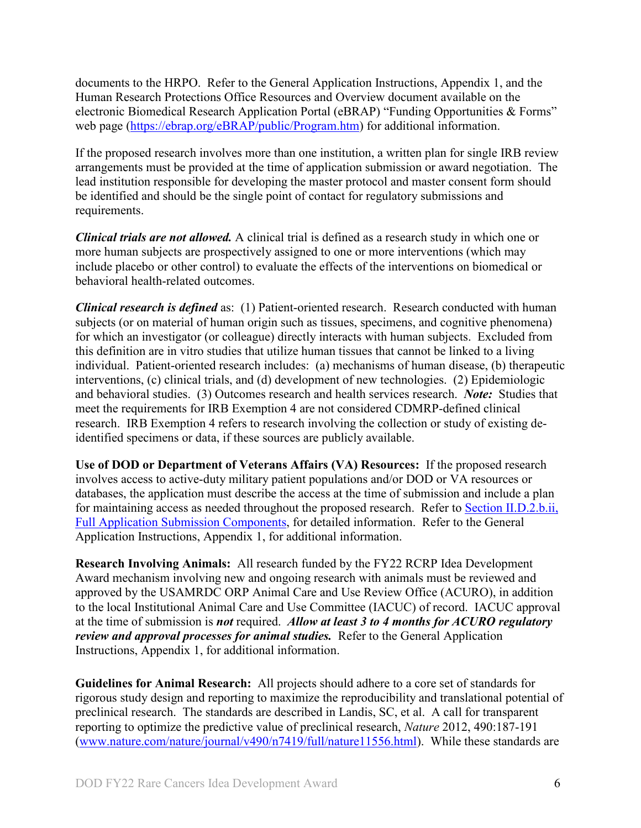documents to the HRPO. Refer to the General Application Instructions, Appendix 1, and the Human Research Protections Office Resources and Overview document available on the electronic Biomedical Research Application Portal (eBRAP) "Funding Opportunities & Forms" web page [\(https://ebrap.org/eBRAP/public/Program.htm\)](https://ebrap.org/eBRAP/public/Program.htm) for additional information.

If the proposed research involves more than one institution, a written plan for single IRB review arrangements must be provided at the time of application submission or award negotiation. The lead institution responsible for developing the master protocol and master consent form should be identified and should be the single point of contact for regulatory submissions and requirements.

*Clinical trials are not allowed.* A clinical trial is defined as a research study in which one or more human subjects are prospectively assigned to one or more interventions (which may include placebo or other control) to evaluate the effects of the interventions on biomedical or behavioral health-related outcomes.

*Clinical research is defined* as: (1) Patient-oriented research. Research conducted with human subjects (or on material of human origin such as tissues, specimens, and cognitive phenomena) for which an investigator (or colleague) directly interacts with human subjects. Excluded from this definition are in vitro studies that utilize human tissues that cannot be linked to a living individual. Patient-oriented research includes: (a) mechanisms of human disease, (b) therapeutic interventions, (c) clinical trials, and (d) development of new technologies. (2) Epidemiologic and behavioral studies. (3) Outcomes research and health services research. *Note:* Studies that meet the requirements for IRB Exemption 4 are not considered CDMRP-defined clinical research. IRB Exemption 4 refers to research involving the collection or study of existing deidentified specimens or data, if these sources are publicly available.

**Use of DOD or Department of Veterans Affairs (VA) Resources:** If the proposed research involves access to active-duty military patient populations and/or DOD or VA resources or databases, the application must describe the access at the time of submission and include a plan for maintaining access as needed throughout the proposed research. Refer to Section [II.D.2.b.ii,](#page-14-0)  [Full Application Submission Components,](#page-14-0) for detailed information. Refer to the General Application Instructions, Appendix 1, for additional information.

**Research Involving Animals:** All research funded by the FY22 RCRP Idea Development Award mechanism involving new and ongoing research with animals must be reviewed and approved by the USAMRDC ORP Animal Care and Use Review Office (ACURO), in addition to the local Institutional Animal Care and Use Committee (IACUC) of record. IACUC approval at the time of submission is *not* required. *Allow at least 3 to 4 months for ACURO regulatory review and approval processes for animal studies.* Refer to the General Application Instructions, Appendix 1, for additional information.

**Guidelines for Animal Research:** All projects should adhere to a core set of standards for rigorous study design and reporting to maximize the reproducibility and translational potential of preclinical research. The standards are described in Landis, SC, et al. A call for transparent reporting to optimize the predictive value of preclinical research, *Nature* 2012, 490:187-191 [\(www.nature.com/nature/journal/v490/n7419/full/nature11556.html\)](http://www.nature.com/nature/journal/v490/n7419/full/nature11556.html). While these standards are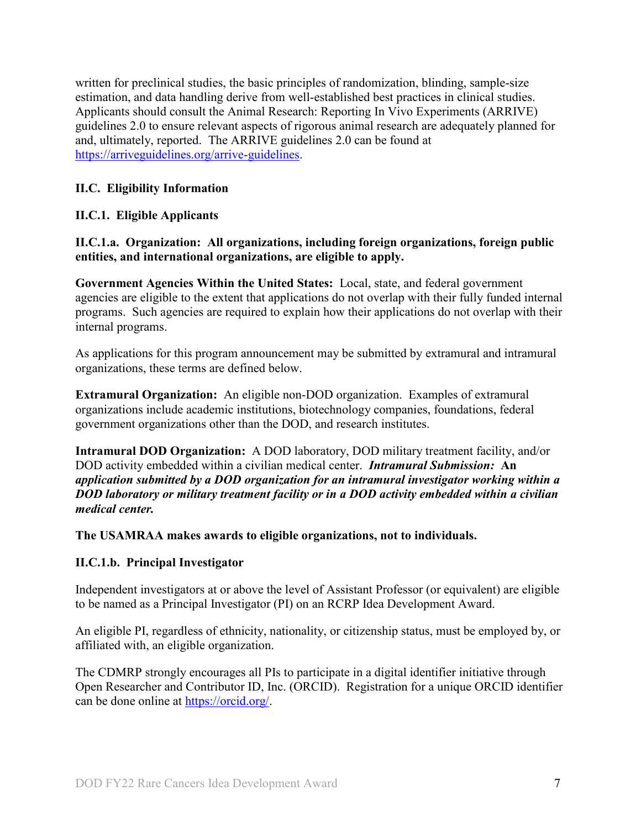written for preclinical studies, the basic principles of randomization, blinding, sample-size estimation, and data handling derive from well-established best practices in clinical studies. Applicants should consult the Animal Research: Reporting In Vivo Experiments (ARRIVE) guidelines 2.0 to ensure relevant aspects of rigorous animal research are adequately planned for and, ultimately, reported. The ARRIVE guidelines 2.0 can be found at [https://arriveguidelines.org/arrive-guidelines.](https://arriveguidelines.org/arrive-guidelines)

# <span id="page-6-0"></span>**II.C. Eligibility Information**

# <span id="page-6-1"></span>**II.C.1. Eligible Applicants**

#### **II.C.1.a. Organization: All organizations, including foreign organizations, foreign public entities, and international organizations, are eligible to apply.**

**Government Agencies Within the United States:** Local, state, and federal government agencies are eligible to the extent that applications do not overlap with their fully funded internal programs. Such agencies are required to explain how their applications do not overlap with their internal programs.

As applications for this program announcement may be submitted by extramural and intramural organizations, these terms are defined below.

**Extramural Organization:** An eligible non-DOD organization. Examples of extramural organizations include academic institutions, biotechnology companies, foundations, federal government organizations other than the DOD, and research institutes.

**Intramural DOD Organization:** A DOD laboratory, DOD military treatment facility, and/or DOD activity embedded within a civilian medical center. *Intramural Submission:* **An**  *application submitted by a DOD organization for an intramural investigator working within a DOD laboratory or military treatment facility or in a DOD activity embedded within a civilian medical center.*

**The USAMRAA makes awards to eligible organizations, not to individuals.**

### **II.C.1.b. Principal Investigator**

Independent investigators at or above the level of Assistant Professor (or equivalent) are eligible to be named as a Principal Investigator (PI) on an RCRP Idea Development Award.

An eligible PI, regardless of ethnicity, nationality, or citizenship status, must be employed by, or affiliated with, an eligible organization.

The CDMRP strongly encourages all PIs to participate in a digital identifier initiative through Open Researcher and Contributor ID, Inc. (ORCID). Registration for a unique ORCID identifier can be done online at [https://orcid.org/.](https://orcid.org/)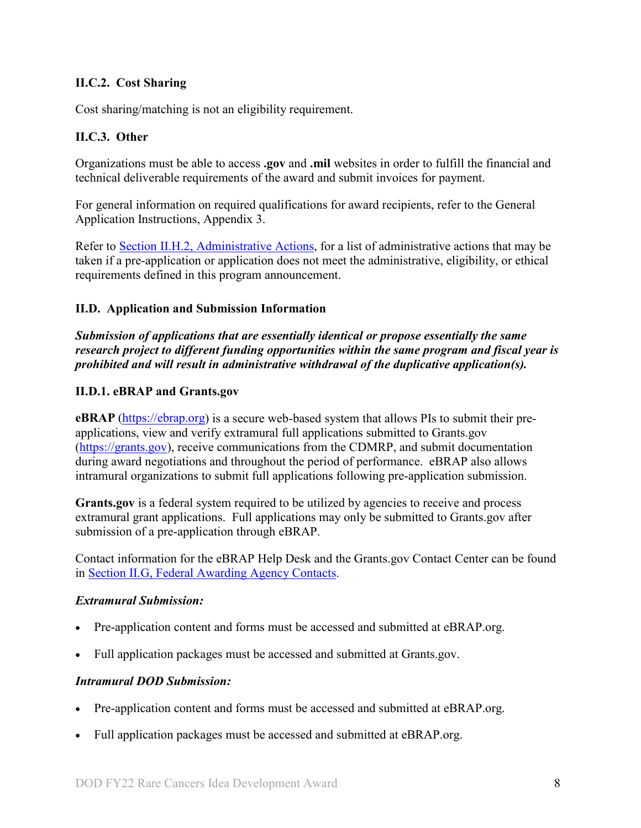# <span id="page-7-0"></span>**II.C.2. Cost Sharing**

Cost sharing/matching is not an eligibility requirement.

#### <span id="page-7-1"></span>**II.C.3. Other**

Organizations must be able to access **.gov** and **.mil** websites in order to fulfill the financial and technical deliverable requirements of the award and submit invoices for payment.

For general information on required qualifications for award recipients, refer to the General Application Instructions, Appendix 3.

Refer to [Section II.H.2, Administrative Actions,](#page-30-5) for a list of administrative actions that may be taken if a pre-application or application does not meet the administrative, eligibility, or ethical requirements defined in this program announcement.

#### <span id="page-7-2"></span>**II.D. Application and Submission Information**

*Submission of applications that are essentially identical or propose essentially the same research project to different funding opportunities within the same program and fiscal year is prohibited and will result in administrative withdrawal of the duplicative application(s).*

#### <span id="page-7-3"></span>**II.D.1. eBRAP and Grants.gov**

**eBRAP** [\(https://ebrap.org\)](https://ebrap.org/) is a secure web-based system that allows PIs to submit their preapplications, view and verify extramural full applications submitted to Grants.gov [\(https://grants.gov\)](https://grants.gov/), receive communications from the CDMRP, and submit documentation during award negotiations and throughout the period of performance. eBRAP also allows intramural organizations to submit full applications following pre-application submission.

**Grants.gov** is a federal system required to be utilized by agencies to receive and process extramural grant applications. Full applications may only be submitted to Grants.gov after submission of a pre-application through eBRAP.

Contact information for the eBRAP Help Desk and the Grants.gov Contact Center can be found in [Section II.G, Federal Awarding Agency Contacts.](#page-30-0)

#### *Extramural Submission:*

- Pre-application content and forms must be accessed and submitted at eBRAP.org.
- Full application packages must be accessed and submitted at Grants.gov.

#### *Intramural DOD Submission:*

- Pre-application content and forms must be accessed and submitted at eBRAP.org.
- Full application packages must be accessed and submitted at eBRAP.org.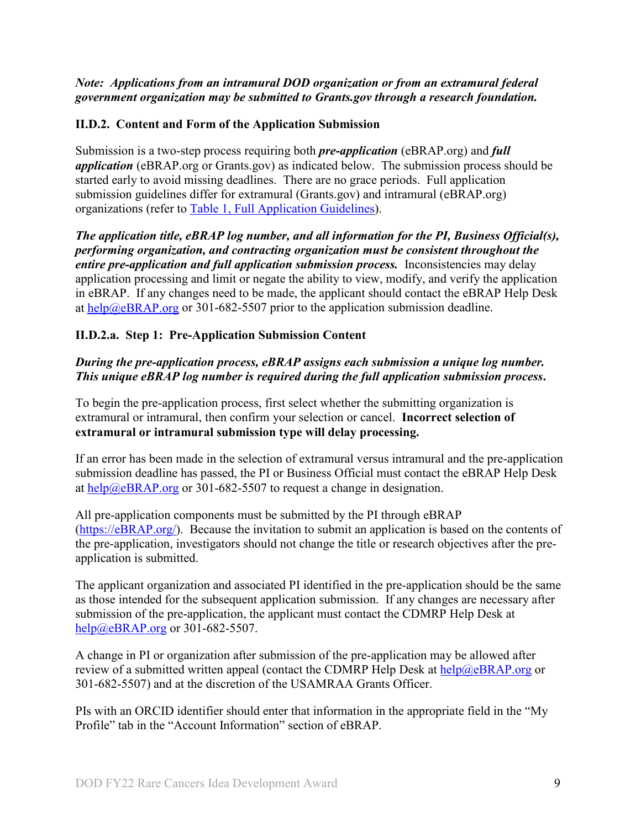### *Note: Applications from an intramural DOD organization or from an extramural federal government organization may be submitted to Grants.gov through a research foundation.*

### <span id="page-8-0"></span>**II.D.2. Content and Form of the Application Submission**

Submission is a two-step process requiring both *pre-application* (eBRAP.org) and *full application* (eBRAP.org or Grants.gov) as indicated below. The submission process should be started early to avoid missing deadlines. There are no grace periods. Full application submission guidelines differ for extramural (Grants.gov) and intramural (eBRAP.org) organizations (refer to [Table 1, Full Application Guidelines\)](#page-12-0).

*The application title, eBRAP log number, and all information for the PI, Business Official(s), performing organization, and contracting organization must be consistent throughout the entire pre-application and full application submission process.* Inconsistencies may delay application processing and limit or negate the ability to view, modify, and verify the application in eBRAP. If any changes need to be made, the applicant should contact the eBRAP Help Desk at [help@eBRAP.org](mailto:help@eBRAP.org) or 301-682-5507 prior to the application submission deadline.

### **II.D.2.a. Step 1: Pre-Application Submission Content**

# *During the pre-application process, eBRAP assigns each submission a unique log number. This unique eBRAP log number is required during the full application submission process***.**

To begin the pre-application process, first select whether the submitting organization is extramural or intramural, then confirm your selection or cancel. **Incorrect selection of extramural or intramural submission type will delay processing.**

If an error has been made in the selection of extramural versus intramural and the pre-application submission deadline has passed, the PI or Business Official must contact the eBRAP Help Desk at [help@eBRAP.org](mailto:help@eBRAP.org) or 301-682-5507 to request a change in designation.

All pre-application components must be submitted by the PI through eBRAP [\(https://eBRAP.org/\)](https://ebrap.org/). Because the invitation to submit an application is based on the contents of the pre-application, investigators should not change the title or research objectives after the preapplication is submitted.

The applicant organization and associated PI identified in the pre-application should be the same as those intended for the subsequent application submission. If any changes are necessary after submission of the pre-application, the applicant must contact the CDMRP Help Desk at [help@eBRAP.org](mailto:help@eBRAP.org) or 301-682-5507.

A change in PI or organization after submission of the pre-application may be allowed after review of a submitted written appeal (contact the CDMRP Help Desk at  $\frac{heb}{a}eBRAP.org$  or 301-682-5507) and at the discretion of the USAMRAA Grants Officer.

PIs with an ORCID identifier should enter that information in the appropriate field in the "My Profile" tab in the "Account Information" section of eBRAP.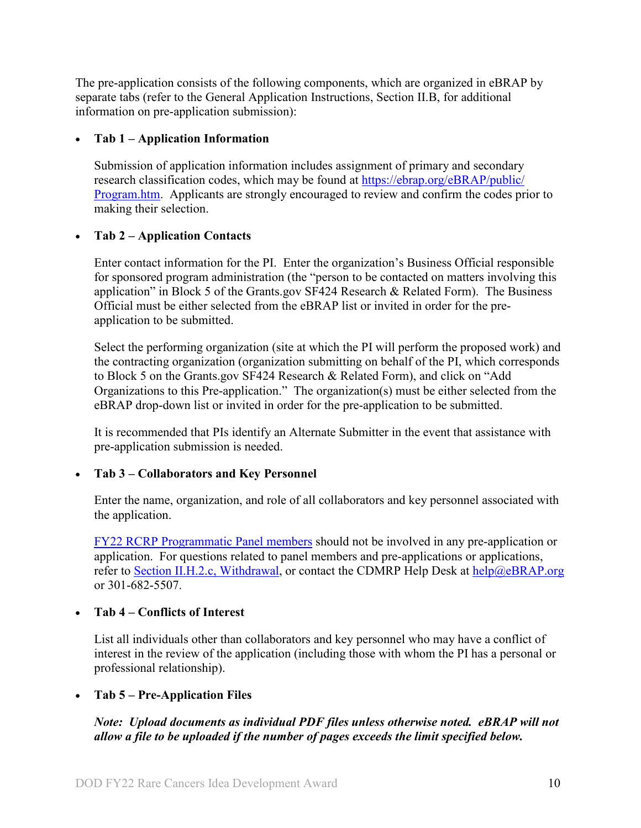The pre-application consists of the following components, which are organized in eBRAP by separate tabs (refer to the General Application Instructions, Section II.B, for additional information on pre-application submission):

# • **Tab 1 – Application Information**

Submission of application information includes assignment of primary and secondary research classification codes, which may be found at [https://ebrap.org/eBRAP/public/](https://ebrap.org/eBRAP/public/Program.htm) [Program.htm.](https://ebrap.org/eBRAP/public/Program.htm) Applicants are strongly encouraged to review and confirm the codes prior to making their selection.

# • **Tab 2 – Application Contacts**

Enter contact information for the PI. Enter the organization's Business Official responsible for sponsored program administration (the "person to be contacted on matters involving this application" in Block 5 of the Grants.gov SF424 Research & Related Form). The Business Official must be either selected from the eBRAP list or invited in order for the preapplication to be submitted.

Select the performing organization (site at which the PI will perform the proposed work) and the contracting organization (organization submitting on behalf of the PI, which corresponds to Block 5 on the Grants.gov SF424 Research & Related Form), and click on "Add Organizations to this Pre-application." The organization(s) must be either selected from the eBRAP drop-down list or invited in order for the pre-application to be submitted.

It is recommended that PIs identify an Alternate Submitter in the event that assistance with pre-application submission is needed.

### • **Tab 3 – Collaborators and Key Personnel**

Enter the name, organization, and role of all collaborators and key personnel associated with the application.

[FY22 RCRP Programmatic Panel members](https://cdmrp.army.mil/rcrp/panels/panels22) should not be involved in any pre-application or application. For questions related to panel members and pre-applications or applications, refer to Section [II.H.2.c, Withdrawal,](#page-31-0) or contact the CDMRP Help Desk at [help@eBRAP.org](mailto:help@eBRAP.org) or 301-682-5507.

### • **Tab 4 – Conflicts of Interest**

List all individuals other than collaborators and key personnel who may have a conflict of interest in the review of the application (including those with whom the PI has a personal or professional relationship).

### • **Tab 5 – Pre-Application Files**

# *Note: Upload documents as individual PDF files unless otherwise noted. eBRAP will not allow a file to be uploaded if the number of pages exceeds the limit specified below.*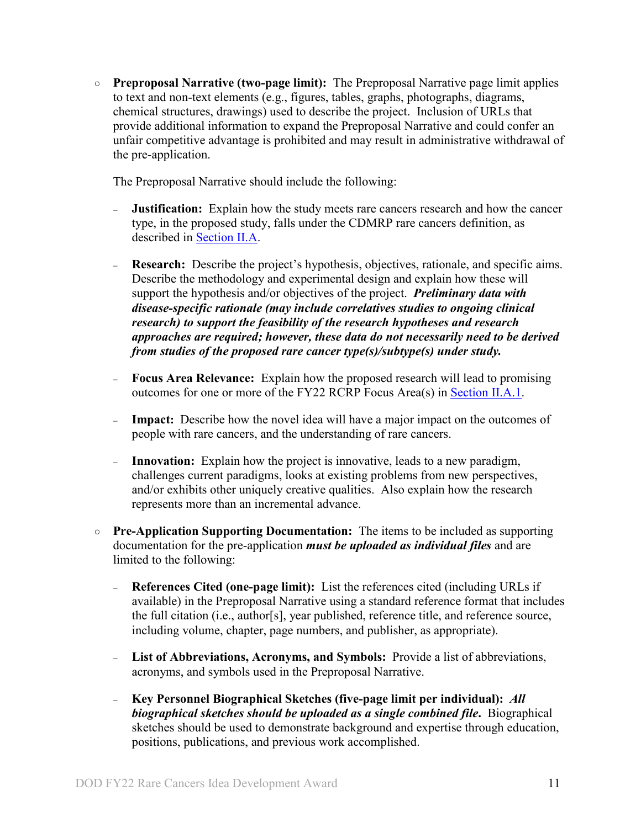○ **Preproposal Narrative (two-page limit):** The Preproposal Narrative page limit applies to text and non-text elements (e.g., figures, tables, graphs, photographs, diagrams, chemical structures, drawings) used to describe the project. Inclusion of URLs that provide additional information to expand the Preproposal Narrative and could confer an unfair competitive advantage is prohibited and may result in administrative withdrawal of the pre-application.

The Preproposal Narrative should include the following:

- **Justification:** Explain how the study meets rare cancers research and how the cancer type, in the proposed study, falls under the CDMRP rare cancers definition, as described in [Section II.A.](#page-2-3)
- <sup>−</sup> **Research:** Describe the project's hypothesis, objectives, rationale, and specific aims. Describe the methodology and experimental design and explain how these will support the hypothesis and/or objectives of the project. *Preliminary data with disease-specific rationale (may include correlatives studies to ongoing clinical research) to support the feasibility of the research hypotheses and research approaches are required; however, these data do not necessarily need to be derived from studies of the proposed rare cancer type(s)/subtype(s) under study.*
- <sup>−</sup> **Focus Area Relevance:** Explain how the proposed research will lead to promising outcomes for one or more of the FY22 RCRP Focus Area(s) in [Section II.A.1.](#page-2-2)
- **Impact:** Describe how the novel idea will have a major impact on the outcomes of people with rare cancers, and the understanding of rare cancers.
- <sup>−</sup> **Innovation:** Explain how the project is innovative, leads to a new paradigm, challenges current paradigms, looks at existing problems from new perspectives, and/or exhibits other uniquely creative qualities. Also explain how the research represents more than an incremental advance.
- **Pre-Application Supporting Documentation:** The items to be included as supporting documentation for the pre-application *must be uploaded as individual files* and are limited to the following:
	- <sup>−</sup> **References Cited (one-page limit):** List the references cited (including URLs if available) in the Preproposal Narrative using a standard reference format that includes the full citation (i.e., author[s], year published, reference title, and reference source, including volume, chapter, page numbers, and publisher, as appropriate).
	- <sup>−</sup> **List of Abbreviations, Acronyms, and Symbols:** Provide a list of abbreviations, acronyms, and symbols used in the Preproposal Narrative.
	- <sup>−</sup> **Key Personnel Biographical Sketches (five-page limit per individual):** *All biographical sketches should be uploaded as a single combined file***.** Biographical sketches should be used to demonstrate background and expertise through education, positions, publications, and previous work accomplished.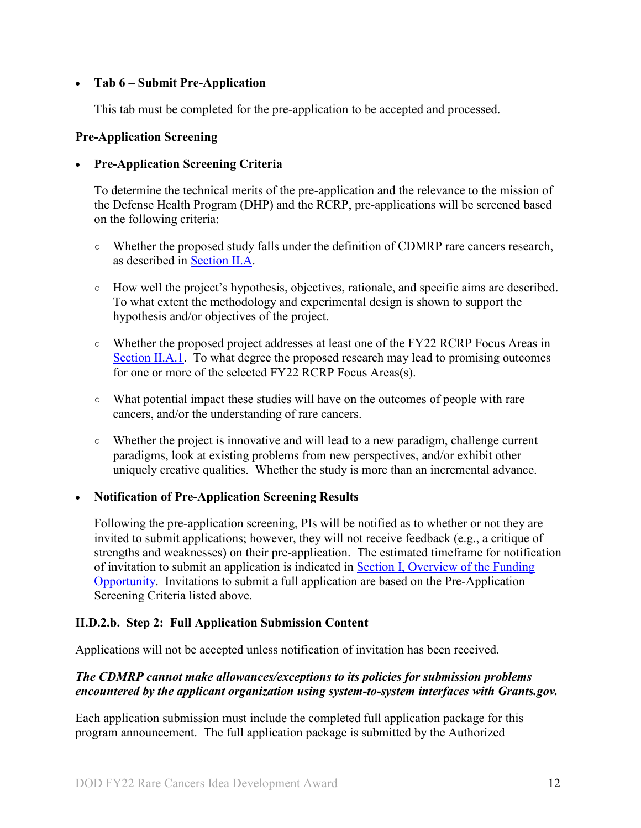### • **Tab 6 – Submit Pre-Application**

This tab must be completed for the pre-application to be accepted and processed.

### **Pre-Application Screening**

# • **Pre-Application Screening Criteria**

To determine the technical merits of the pre-application and the relevance to the mission of the Defense Health Program (DHP) and the RCRP, pre-applications will be screened based on the following criteria:

- Whether the proposed study falls under the definition of CDMRP rare cancers research, as described in [Section II.A.](#page-2-3)
- How well the project's hypothesis, objectives, rationale, and specific aims are described. To what extent the methodology and experimental design is shown to support the hypothesis and/or objectives of the project.
- Whether the proposed project addresses at least one of the FY22 RCRP Focus Areas in [Section II.A.1.](#page-2-2) To what degree the proposed research may lead to promising outcomes for one or more of the selected FY22 RCRP Focus Areas(s).
- What potential impact these studies will have on the outcomes of people with rare cancers, and/or the understanding of rare cancers.
- Whether the project is innovative and will lead to a new paradigm, challenge current paradigms, look at existing problems from new perspectives, and/or exhibit other uniquely creative qualities. Whether the study is more than an incremental advance.

# • **Notification of Pre-Application Screening Results**

Following the pre-application screening, PIs will be notified as to whether or not they are invited to submit applications; however, they will not receive feedback (e.g., a critique of strengths and weaknesses) on their pre-application. The estimated timeframe for notification of invitation to submit an application is indicated in Section [I, Overview of the Funding](#page-0-1)  [Opportunity.](#page-0-1) Invitations to submit a full application are based on the Pre-Application Screening Criteria listed above.

# **II.D.2.b. Step 2: Full Application Submission Content**

Applications will not be accepted unless notification of invitation has been received.

# *The CDMRP cannot make allowances/exceptions to its policies for submission problems encountered by the applicant organization using system-to-system interfaces with Grants.gov.*

Each application submission must include the completed full application package for this program announcement. The full application package is submitted by the Authorized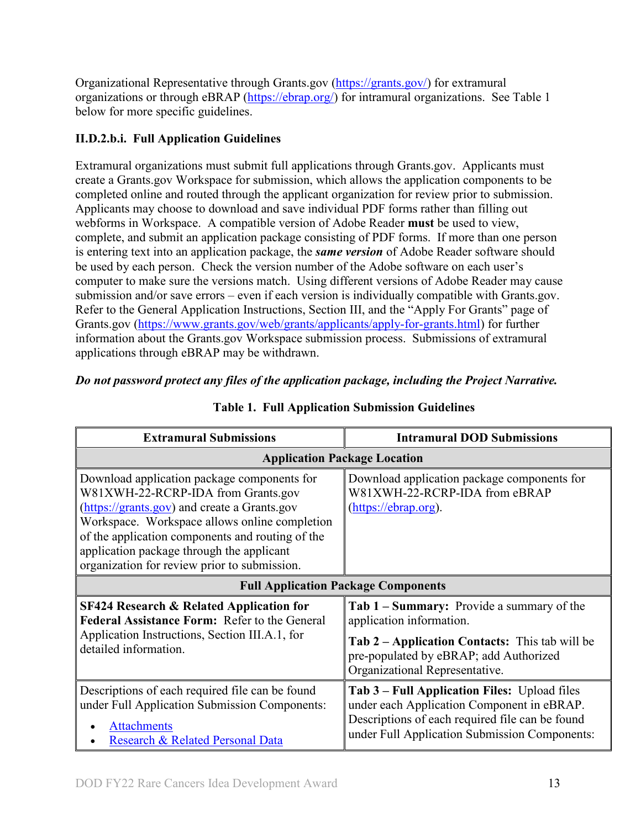Organizational Representative through Grants.gov [\(https://grants.gov/\)](https://www.grants.gov/) for extramural organizations or through eBRAP [\(https://ebrap.org/\)](https://ebrap.org/) for intramural organizations. See Table 1 below for more specific guidelines.

# **II.D.2.b.i. Full Application Guidelines**

Extramural organizations must submit full applications through Grants.gov. Applicants must create a Grants.gov Workspace for submission, which allows the application components to be completed online and routed through the applicant organization for review prior to submission. Applicants may choose to download and save individual PDF forms rather than filling out webforms in Workspace. A compatible version of Adobe Reader **must** be used to view, complete, and submit an application package consisting of PDF forms. If more than one person is entering text into an application package, the *same version* of Adobe Reader software should be used by each person. Check the version number of the Adobe software on each user's computer to make sure the versions match. Using different versions of Adobe Reader may cause submission and/or save errors – even if each version is individually compatible with Grants.gov. Refer to the General Application Instructions, Section III, and the "Apply For Grants" page of Grants.gov [\(https://www.grants.gov/web/grants/applicants/apply-for-grants.html\)](https://www.grants.gov/web/grants/applicants/apply-for-grants.html) for further information about the Grants.gov Workspace submission process. Submissions of extramural applications through eBRAP may be withdrawn.

# <span id="page-12-0"></span>*Do not password protect any files of the application package, including the Project Narrative.*

| <b>Extramural Submissions</b>                                                                                                                                                                                                                                                                                                       | <b>Intramural DOD Submissions</b>                                                                                                                                                                   |  |
|-------------------------------------------------------------------------------------------------------------------------------------------------------------------------------------------------------------------------------------------------------------------------------------------------------------------------------------|-----------------------------------------------------------------------------------------------------------------------------------------------------------------------------------------------------|--|
| <b>Application Package Location</b>                                                                                                                                                                                                                                                                                                 |                                                                                                                                                                                                     |  |
| Download application package components for<br>W81XWH-22-RCRP-IDA from Grants.gov<br>(https://grants.gov) and create a Grants.gov<br>Workspace. Workspace allows online completion<br>of the application components and routing of the<br>application package through the applicant<br>organization for review prior to submission. | Download application package components for<br>W81XWH-22-RCRP-IDA from eBRAP<br>(https://ebrap.org).                                                                                                |  |
| <b>Full Application Package Components</b>                                                                                                                                                                                                                                                                                          |                                                                                                                                                                                                     |  |
| <b>SF424 Research &amp; Related Application for</b><br>Federal Assistance Form: Refer to the General<br>Application Instructions, Section III.A.1, for<br>detailed information.                                                                                                                                                     | Tab 1 – Summary: Provide a summary of the<br>application information.<br>Tab 2 - Application Contacts: This tab will be<br>pre-populated by eBRAP; add Authorized<br>Organizational Representative. |  |
| Descriptions of each required file can be found<br>under Full Application Submission Components:<br><b>Attachments</b><br>Research & Related Personal Data                                                                                                                                                                          | Tab 3 – Full Application Files: Upload files<br>under each Application Component in eBRAP.<br>Descriptions of each required file can be found<br>under Full Application Submission Components:      |  |

# **Table 1. Full Application Submission Guidelines**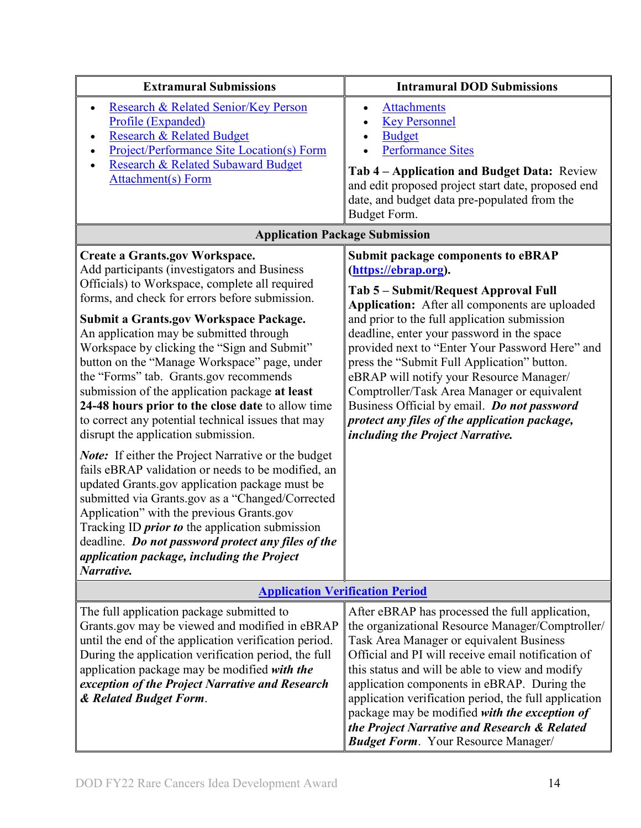| <b>Extramural Submissions</b>                                                                                                                                                                                                                                                                                                                                                                                                                                                                                                                                                                                                                                                                                                                                                                                                                                                                                                                                                                                                                                                  | <b>Intramural DOD Submissions</b>                                                                                                                                                                                                                                                                                                                                                                                                                                                                                                                                                          |  |
|--------------------------------------------------------------------------------------------------------------------------------------------------------------------------------------------------------------------------------------------------------------------------------------------------------------------------------------------------------------------------------------------------------------------------------------------------------------------------------------------------------------------------------------------------------------------------------------------------------------------------------------------------------------------------------------------------------------------------------------------------------------------------------------------------------------------------------------------------------------------------------------------------------------------------------------------------------------------------------------------------------------------------------------------------------------------------------|--------------------------------------------------------------------------------------------------------------------------------------------------------------------------------------------------------------------------------------------------------------------------------------------------------------------------------------------------------------------------------------------------------------------------------------------------------------------------------------------------------------------------------------------------------------------------------------------|--|
| Research & Related Senior/Key Person<br>$\bullet$<br>Profile (Expanded)<br><b>Research &amp; Related Budget</b><br>Project/Performance Site Location(s) Form<br><b>Research &amp; Related Subaward Budget</b><br><b>Attachment(s)</b> Form                                                                                                                                                                                                                                                                                                                                                                                                                                                                                                                                                                                                                                                                                                                                                                                                                                     | <b>Attachments</b><br><b>Key Personnel</b><br><b>Budget</b><br><b>Performance Sites</b><br>Tab 4 – Application and Budget Data: Review<br>and edit proposed project start date, proposed end<br>date, and budget data pre-populated from the<br>Budget Form.                                                                                                                                                                                                                                                                                                                               |  |
| <b>Application Package Submission</b>                                                                                                                                                                                                                                                                                                                                                                                                                                                                                                                                                                                                                                                                                                                                                                                                                                                                                                                                                                                                                                          |                                                                                                                                                                                                                                                                                                                                                                                                                                                                                                                                                                                            |  |
| <b>Create a Grants.gov Workspace.</b><br>Add participants (investigators and Business<br>Officials) to Workspace, complete all required<br>forms, and check for errors before submission.<br>Submit a Grants.gov Workspace Package.<br>An application may be submitted through<br>Workspace by clicking the "Sign and Submit"<br>button on the "Manage Workspace" page, under<br>the "Forms" tab. Grants.gov recommends<br>submission of the application package at least<br>24-48 hours prior to the close date to allow time<br>to correct any potential technical issues that may<br>disrupt the application submission.<br><b>Note:</b> If either the Project Narrative or the budget<br>fails eBRAP validation or needs to be modified, an<br>updated Grants.gov application package must be<br>submitted via Grants.gov as a "Changed/Corrected<br>Application" with the previous Grants.gov<br>Tracking ID <i>prior to</i> the application submission<br>deadline. Do not password protect any files of the<br>application package, including the Project<br>Narrative. | <b>Submit package components to eBRAP</b><br>(https://ebrap.org).<br>Tab 5 - Submit/Request Approval Full<br>Application: After all components are uploaded<br>and prior to the full application submission<br>deadline, enter your password in the space<br>provided next to "Enter Your Password Here" and<br>press the "Submit Full Application" button.<br>eBRAP will notify your Resource Manager/<br>Comptroller/Task Area Manager or equivalent<br>Business Official by email. Do not password<br>protect any files of the application package,<br>including the Project Narrative. |  |
| <b>Application Verification Period</b>                                                                                                                                                                                                                                                                                                                                                                                                                                                                                                                                                                                                                                                                                                                                                                                                                                                                                                                                                                                                                                         |                                                                                                                                                                                                                                                                                                                                                                                                                                                                                                                                                                                            |  |
| The full application package submitted to<br>Grants.gov may be viewed and modified in eBRAP<br>until the end of the application verification period.<br>During the application verification period, the full<br>application package may be modified with the<br>exception of the Project Narrative and Research<br>& Related Budget Form.                                                                                                                                                                                                                                                                                                                                                                                                                                                                                                                                                                                                                                                                                                                                      | After eBRAP has processed the full application,<br>the organizational Resource Manager/Comptroller/<br>Task Area Manager or equivalent Business<br>Official and PI will receive email notification of<br>this status and will be able to view and modify<br>application components in eBRAP. During the<br>application verification period, the full application<br>package may be modified with the exception of<br>the Project Narrative and Research & Related<br><b>Budget Form.</b> Your Resource Manager/                                                                            |  |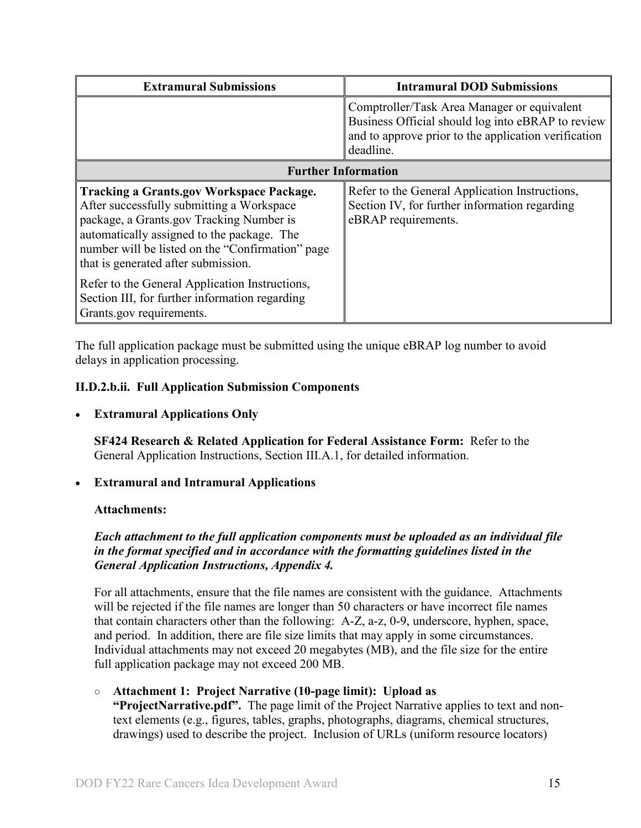| <b>Extramural Submissions</b>                                                                                                                                                                                                                                                     | <b>Intramural DOD Submissions</b>                                                                                                                                     |  |
|-----------------------------------------------------------------------------------------------------------------------------------------------------------------------------------------------------------------------------------------------------------------------------------|-----------------------------------------------------------------------------------------------------------------------------------------------------------------------|--|
|                                                                                                                                                                                                                                                                                   | Comptroller/Task Area Manager or equivalent<br>Business Official should log into eBRAP to review<br>and to approve prior to the application verification<br>deadline. |  |
| <b>Further Information</b>                                                                                                                                                                                                                                                        |                                                                                                                                                                       |  |
| <b>Tracking a Grants.gov Workspace Package.</b><br>After successfully submitting a Workspace<br>package, a Grants.gov Tracking Number is<br>automatically assigned to the package. The<br>number will be listed on the "Confirmation" page<br>that is generated after submission. | Refer to the General Application Instructions,<br>Section IV, for further information regarding<br>eBRAP requirements.                                                |  |
| Refer to the General Application Instructions,<br>Section III, for further information regarding<br>Grants.gov requirements.                                                                                                                                                      |                                                                                                                                                                       |  |

The full application package must be submitted using the unique eBRAP log number to avoid delays in application processing.

### <span id="page-14-0"></span>**II.D.2.b.ii. Full Application Submission Components**

• **Extramural Applications Only**

**SF424 Research & Related Application for Federal Assistance Form:** Refer to the General Application Instructions, Section III.A.1, for detailed information.

#### • **Extramural and Intramural Applications**

#### <span id="page-14-1"></span>**Attachments:**

### *Each attachment to the full application components must be uploaded as an individual file in the format specified and in accordance with the formatting guidelines listed in the General Application Instructions, Appendix 4.*

For all attachments, ensure that the file names are consistent with the guidance. Attachments will be rejected if the file names are longer than 50 characters or have incorrect file names that contain characters other than the following: A-Z, a-z, 0-9, underscore, hyphen, space, and period. In addition, there are file size limits that may apply in some circumstances. Individual attachments may not exceed 20 megabytes (MB), and the file size for the entire full application package may not exceed 200 MB.

#### ○ **Attachment 1: Project Narrative (10-page limit): Upload as**

**"ProjectNarrative.pdf".** The page limit of the Project Narrative applies to text and nontext elements (e.g., figures, tables, graphs, photographs, diagrams, chemical structures, drawings) used to describe the project. Inclusion of URLs (uniform resource locators)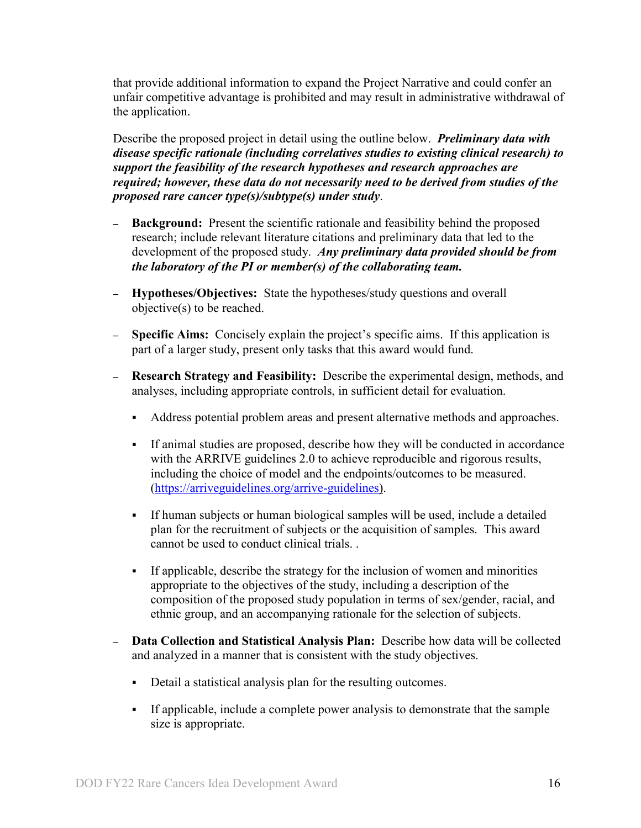that provide additional information to expand the Project Narrative and could confer an unfair competitive advantage is prohibited and may result in administrative withdrawal of the application.

Describe the proposed project in detail using the outline below. *Preliminary data with disease specific rationale (including correlatives studies to existing clinical research) to support the feasibility of the research hypotheses and research approaches are required; however, these data do not necessarily need to be derived from studies of the proposed rare cancer type(s)/subtype(s) under study*.

- **– Background:** Present the scientific rationale and feasibility behind the proposed research; include relevant literature citations and preliminary data that led to the development of the proposed study. *Any preliminary data provided should be from the laboratory of the PI or member(s) of the collaborating team.*
- **– Hypotheses/Objectives:** State the hypotheses/study questions and overall objective(s) to be reached.
- **– Specific Aims:** Concisely explain the project's specific aims. If this application is part of a larger study, present only tasks that this award would fund.
- **– Research Strategy and Feasibility:** Describe the experimental design, methods, and analyses, including appropriate controls, in sufficient detail for evaluation.
	- Address potential problem areas and present alternative methods and approaches.
	- If animal studies are proposed, describe how they will be conducted in accordance with the ARRIVE guidelines 2.0 to achieve reproducible and rigorous results, including the choice of model and the endpoints/outcomes to be measured. [\(https://arriveguidelines.org/arrive-guidelines\).](https://arriveguidelines.org/arrive-guidelines)
	- If human subjects or human biological samples will be used, include a detailed plan for the recruitment of subjects or the acquisition of samples. This award cannot be used to conduct clinical trials. .
	- If applicable, describe the strategy for the inclusion of women and minorities appropriate to the objectives of the study, including a description of the composition of the proposed study population in terms of sex/gender, racial, and ethnic group, and an accompanying rationale for the selection of subjects.
- **– Data Collection and Statistical Analysis Plan:** Describe how data will be collected and analyzed in a manner that is consistent with the study objectives.
	- Detail a statistical analysis plan for the resulting outcomes.
	- If applicable, include a complete power analysis to demonstrate that the sample size is appropriate.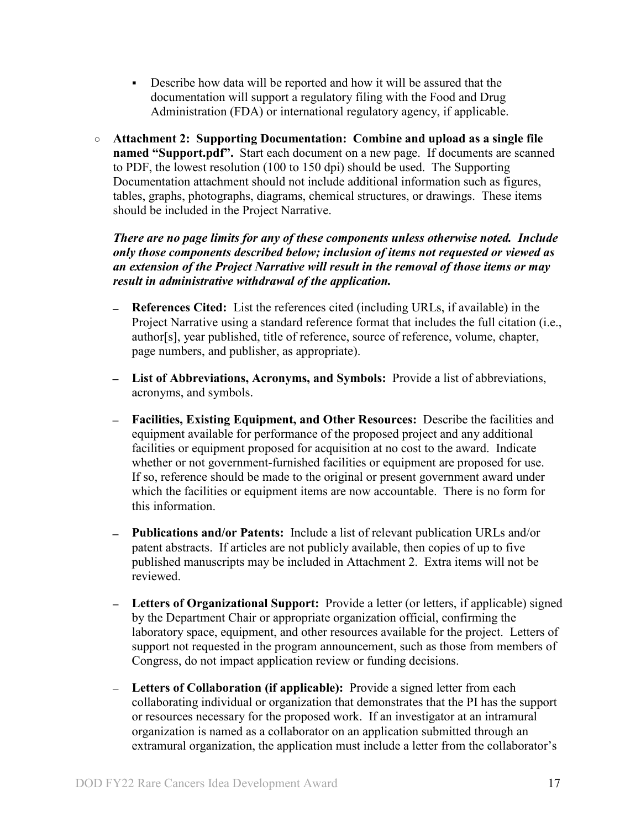- Describe how data will be reported and how it will be assured that the documentation will support a regulatory filing with the Food and Drug Administration (FDA) or international regulatory agency, if applicable.
- **Attachment 2: Supporting Documentation: Combine and upload as a single file named "Support.pdf".** Start each document on a new page. If documents are scanned to PDF, the lowest resolution (100 to 150 dpi) should be used. The Supporting Documentation attachment should not include additional information such as figures, tables, graphs, photographs, diagrams, chemical structures, or drawings. These items should be included in the Project Narrative.

*There are no page limits for any of these components unless otherwise noted. Include only those components described below; inclusion of items not requested or viewed as an extension of the Project Narrative will result in the removal of those items or may result in administrative withdrawal of the application.*

- **References Cited:** List the references cited (including URLs, if available) in the Project Narrative using a standard reference format that includes the full citation (i.e., author[s], year published, title of reference, source of reference, volume, chapter, page numbers, and publisher, as appropriate).
- **List of Abbreviations, Acronyms, and Symbols:** Provide a list of abbreviations, acronyms, and symbols.
- **Facilities, Existing Equipment, and Other Resources:** Describe the facilities and equipment available for performance of the proposed project and any additional facilities or equipment proposed for acquisition at no cost to the award. Indicate whether or not government-furnished facilities or equipment are proposed for use. If so, reference should be made to the original or present government award under which the facilities or equipment items are now accountable. There is no form for this information.
- **Publications and/or Patents:** Include a list of relevant publication URLs and/or patent abstracts. If articles are not publicly available, then copies of up to five published manuscripts may be included in Attachment 2. Extra items will not be reviewed.
- **Letters of Organizational Support:** Provide a letter (or letters, if applicable) signed by the Department Chair or appropriate organization official, confirming the laboratory space, equipment, and other resources available for the project. Letters of support not requested in the program announcement, such as those from members of Congress, do not impact application review or funding decisions.
- **Letters of Collaboration (if applicable):** Provide a signed letter from each collaborating individual or organization that demonstrates that the PI has the support or resources necessary for the proposed work. If an investigator at an intramural organization is named as a collaborator on an application submitted through an extramural organization, the application must include a letter from the collaborator's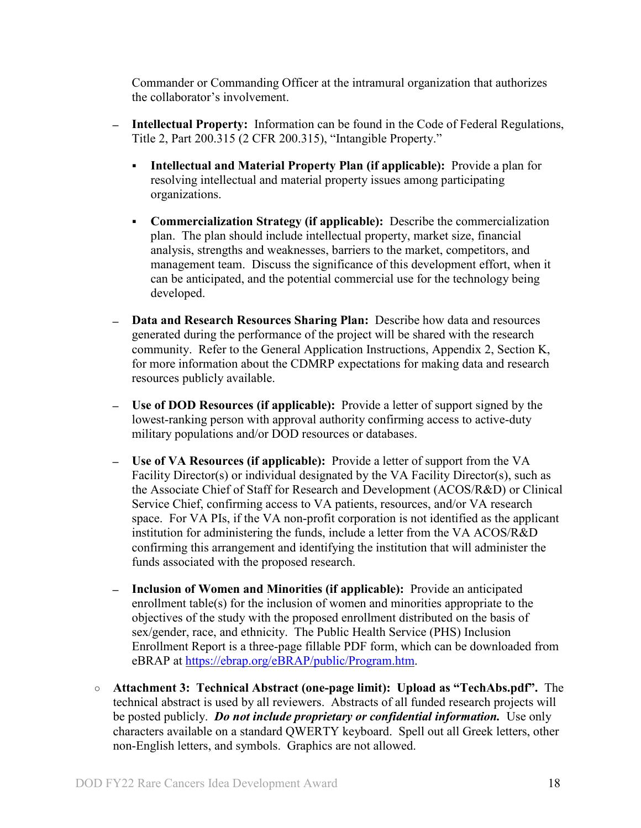Commander or Commanding Officer at the intramural organization that authorizes the collaborator's involvement.

- **Intellectual Property:** Information can be found in the Code of Federal Regulations, Title 2, Part 200.315 (2 CFR 200.315), "Intangible Property."
	- **Intellectual and Material Property Plan (if applicable):** Provide a plan for resolving intellectual and material property issues among participating organizations.
	- **Commercialization Strategy (if applicable):** Describe the commercialization plan. The plan should include intellectual property, market size, financial analysis, strengths and weaknesses, barriers to the market, competitors, and management team. Discuss the significance of this development effort, when it can be anticipated, and the potential commercial use for the technology being developed.
- **Data and Research Resources Sharing Plan:** Describe how data and resources generated during the performance of the project will be shared with the research community. Refer to the General Application Instructions, Appendix 2, Section K, for more information about the CDMRP expectations for making data and research resources publicly available.
- **Use of DOD Resources (if applicable):** Provide a letter of support signed by the lowest-ranking person with approval authority confirming access to active-duty military populations and/or DOD resources or databases.
- **Use of VA Resources (if applicable):** Provide a letter of support from the VA Facility Director(s) or individual designated by the VA Facility Director(s), such as the Associate Chief of Staff for Research and Development (ACOS/R&D) or Clinical Service Chief, confirming access to VA patients, resources, and/or VA research space. For VA PIs, if the VA non-profit corporation is not identified as the applicant institution for administering the funds, include a letter from the VA ACOS/R&D confirming this arrangement and identifying the institution that will administer the funds associated with the proposed research.
- **Inclusion of Women and Minorities (if applicable):** Provide an anticipated enrollment table(s) for the inclusion of women and minorities appropriate to the objectives of the study with the proposed enrollment distributed on the basis of sex/gender, race, and ethnicity. The Public Health Service (PHS) Inclusion Enrollment Report is a three-page fillable PDF form, which can be downloaded from eBRAP at [https://ebrap.org/eBRAP/public/Program.htm.](https://ebrap.org/eBRAP/public/Program.htm)
- **Attachment 3: Technical Abstract (one-page limit): Upload as "TechAbs.pdf".** The technical abstract is used by all reviewers. Abstracts of all funded research projects will be posted publicly. *Do not include proprietary or confidential information.* Use only characters available on a standard QWERTY keyboard. Spell out all Greek letters, other non-English letters, and symbols. Graphics are not allowed.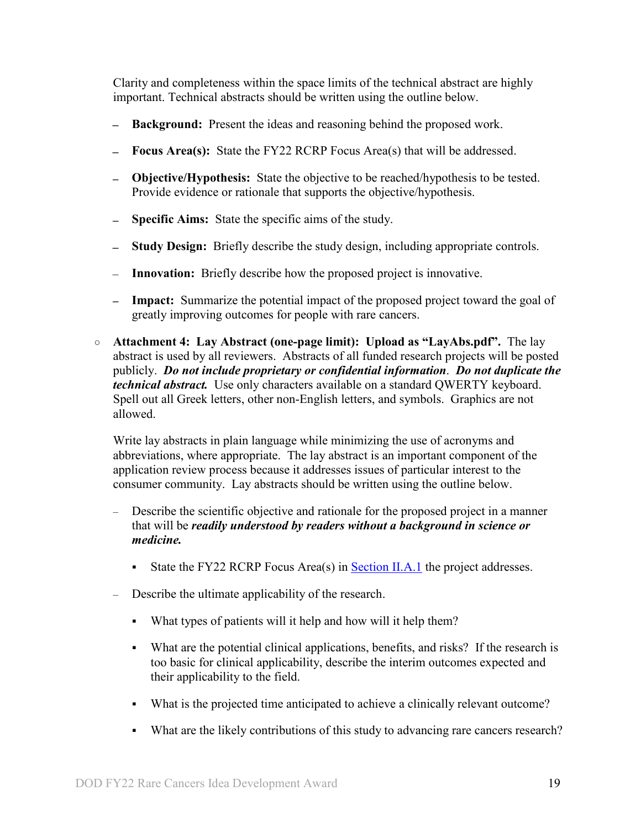Clarity and completeness within the space limits of the technical abstract are highly important. Technical abstracts should be written using the outline below.

- **Background:** Present the ideas and reasoning behind the proposed work.  $\overline{\phantom{0}}$
- **Focus Area(s):** State the FY22 RCRP Focus Area(s) that will be addressed.
- **Objective/Hypothesis:** State the objective to be reached/hypothesis to be tested. Provide evidence or rationale that supports the objective/hypothesis.
- **Specific Aims:** State the specific aims of the study.  $\overline{\phantom{0}}$
- $\overline{\phantom{0}}$ **Study Design:** Briefly describe the study design, including appropriate controls.
- **Innovation:** Briefly describe how the proposed project is innovative.
- **Impact:** Summarize the potential impact of the proposed project toward the goal of greatly improving outcomes for people with rare cancers.
- **Attachment 4: Lay Abstract (one-page limit): Upload as "LayAbs.pdf".** The lay abstract is used by all reviewers. Abstracts of all funded research projects will be posted publicly. *Do not include proprietary or confidential information*. *Do not duplicate the technical abstract.* Use only characters available on a standard QWERTY keyboard. Spell out all Greek letters, other non-English letters, and symbols. Graphics are not allowed.

Write lay abstracts in plain language while minimizing the use of acronyms and abbreviations, where appropriate. The lay abstract is an important component of the application review process because it addresses issues of particular interest to the consumer community. Lay abstracts should be written using the outline below.

- Describe the scientific objective and rationale for the proposed project in a manner that will be *readily understood by readers without a background in science or medicine.*
	- State the FY22 RCRP Focus Area(s) in [Section II.A.1](#page-2-2) the project addresses.
- Describe the ultimate applicability of the research.
	- What types of patients will it help and how will it help them?
	- What are the potential clinical applications, benefits, and risks? If the research is too basic for clinical applicability, describe the interim outcomes expected and their applicability to the field.
	- What is the projected time anticipated to achieve a clinically relevant outcome?
	- What are the likely contributions of this study to advancing rare cancers research?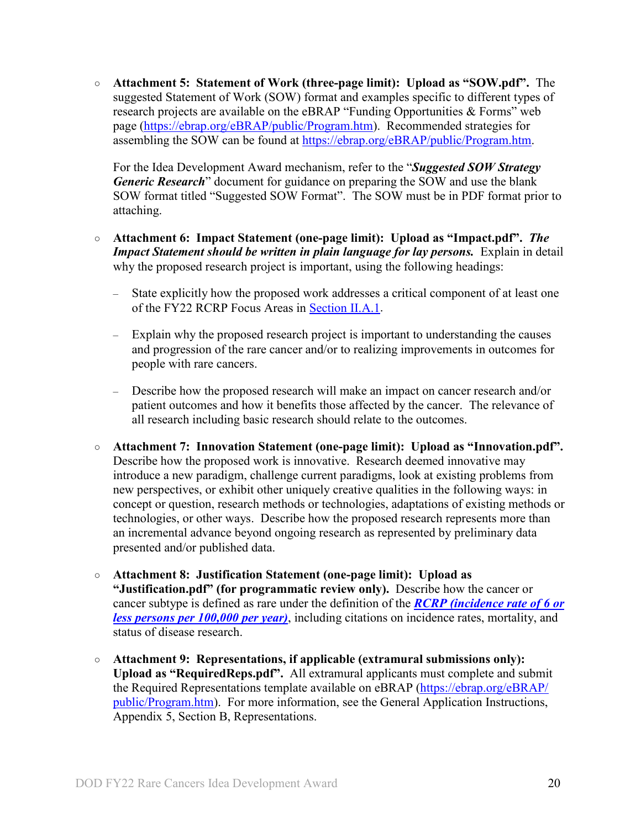○ **Attachment 5: Statement of Work (three-page limit): Upload as "SOW.pdf".** The suggested Statement of Work (SOW) format and examples specific to different types of research projects are available on the eBRAP "Funding Opportunities & Forms" web page [\(https://ebrap.org/eBRAP/public/Program.htm\)](https://ebrap.org/eBRAP/public/Program.htm). Recommended strategies for assembling the SOW can be found at [https://ebrap.org/eBRAP/public/Program.htm.](https://ebrap.org/eBRAP/public/Program.htm)

For the Idea Development Award mechanism, refer to the "*Suggested SOW Strategy Generic Research*" document for guidance on preparing the SOW and use the blank SOW format titled "Suggested SOW Format". The SOW must be in PDF format prior to attaching.

- **Attachment 6: Impact Statement (one-page limit): Upload as "Impact.pdf".** *The Impact Statement should be written in plain language for lay persons.* Explain in detail why the proposed research project is important, using the following headings:
	- State explicitly how the proposed work addresses a critical component of at least one of the FY22 RCRP Focus Areas in [Section II.A.1.](#page-2-2)
	- Explain why the proposed research project is important to understanding the causes and progression of the rare cancer and/or to realizing improvements in outcomes for people with rare cancers.
	- Describe how the proposed research will make an impact on cancer research and/or patient outcomes and how it benefits those affected by the cancer. The relevance of all research including basic research should relate to the outcomes.
- **Attachment 7: Innovation Statement (one-page limit): Upload as "Innovation.pdf".**  Describe how the proposed work is innovative. Research deemed innovative may introduce a new paradigm, challenge current paradigms, look at existing problems from new perspectives, or exhibit other uniquely creative qualities in the following ways: in concept or question, research methods or technologies, adaptations of existing methods or technologies, or other ways. Describe how the proposed research represents more than an incremental advance beyond ongoing research as represented by preliminary data presented and/or published data.
- **Attachment 8: Justification Statement (one-page limit): Upload as "Justification.pdf" (for programmatic review only).** Describe how the cancer or cancer subtype is defined as rare under the definition of the *[RCRP \(incidence rate of 6 or](https://cdmrp.army.mil/rcrp/default)  [less persons per 100,000 per year\)](https://cdmrp.army.mil/rcrp/default)*, including citations on incidence rates, mortality, and status of disease research.
- **Attachment 9: Representations, if applicable (extramural submissions only): Upload as "RequiredReps.pdf".** All extramural applicants must complete and submit the Required Representations template available on eBRAP [\(https://ebrap.org/eBRAP/](https://ebrap.org/eBRAP/public/Program.htm) [public/Program.htm\)](https://ebrap.org/eBRAP/public/Program.htm). For more information, see the General Application Instructions, Appendix 5, Section B, Representations.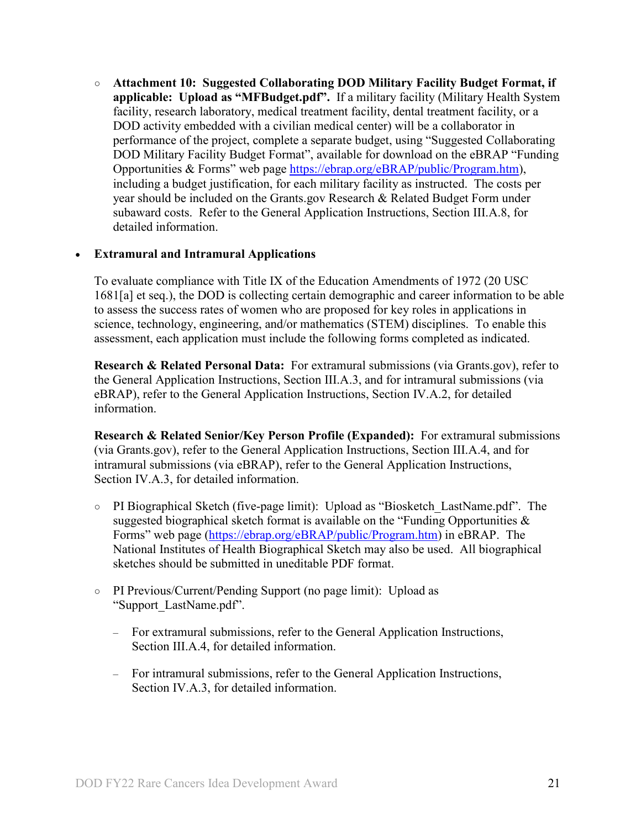<span id="page-20-2"></span>○ **Attachment 10: Suggested Collaborating DOD Military Facility Budget Format, if applicable: Upload as "MFBudget.pdf".** If a military facility (Military Health System facility, research laboratory, medical treatment facility, dental treatment facility, or a DOD activity embedded with a civilian medical center) will be a collaborator in performance of the project, complete a separate budget, using "Suggested Collaborating DOD Military Facility Budget Format", available for download on the eBRAP "Funding Opportunities & Forms" web page [https://ebrap.org/eBRAP/public/Program.htm\)](https://ebrap.org/eBRAP/public/Program.htm), including a budget justification, for each military facility as instructed. The costs per year should be included on the Grants.gov Research & Related Budget Form under subaward costs. Refer to the General Application Instructions, Section III.A.8, for detailed information.

### • **Extramural and Intramural Applications**

To evaluate compliance with Title IX of the Education Amendments of 1972 (20 USC 1681[a] et seq.), the DOD is collecting certain demographic and career information to be able to assess the success rates of women who are proposed for key roles in applications in science, technology, engineering, and/or mathematics (STEM) disciplines. To enable this assessment, each application must include the following forms completed as indicated.

<span id="page-20-0"></span>**Research & Related Personal Data:** For extramural submissions (via Grants.gov), refer to the General Application Instructions, Section III.A.3, and for intramural submissions (via eBRAP), refer to the General Application Instructions, Section IV.A.2, for detailed information.

<span id="page-20-1"></span>**Research & Related Senior/Key Person Profile (Expanded):** For extramural submissions (via Grants.gov), refer to the General Application Instructions, Section III.A.4, and for intramural submissions (via eBRAP), refer to the General Application Instructions, Section IV.A.3, for detailed information.

- PI Biographical Sketch (five-page limit): Upload as "Biosketch\_LastName.pdf". The suggested biographical sketch format is available on the "Funding Opportunities  $\&$ Forms" web page [\(https://ebrap.org/eBRAP/public/Program.htm\)](https://ebrap.org/eBRAP/public/Program.htm) in eBRAP. The National Institutes of Health Biographical Sketch may also be used. All biographical sketches should be submitted in uneditable PDF format.
- PI Previous/Current/Pending Support (no page limit): Upload as "Support\_LastName.pdf".
	- For extramural submissions, refer to the General Application Instructions, Section III.A.4, for detailed information.
	- For intramural submissions, refer to the General Application Instructions, Section IV.A.3, for detailed information.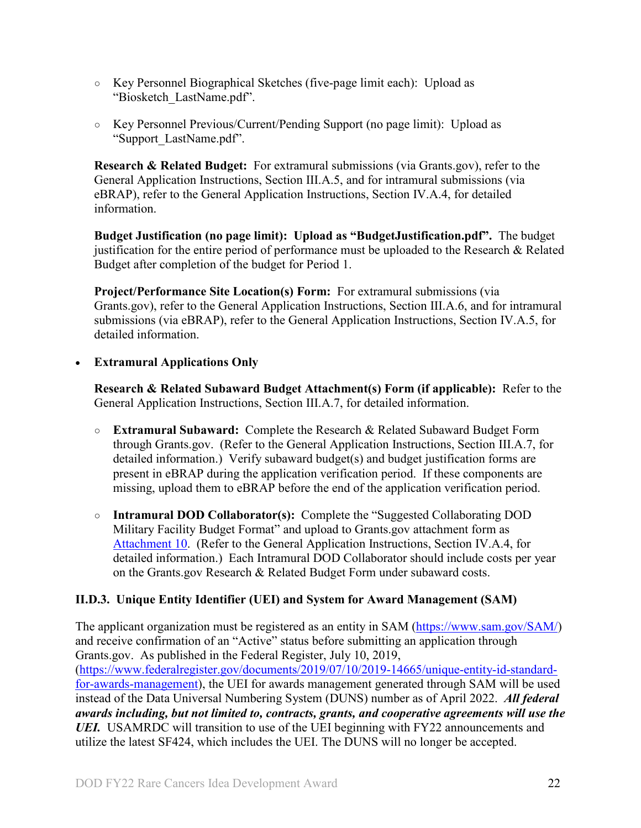- Key Personnel Biographical Sketches (five-page limit each): Upload as "Biosketch\_LastName.pdf".
- Key Personnel Previous/Current/Pending Support (no page limit): Upload as "Support\_LastName.pdf".

<span id="page-21-1"></span>**Research & Related Budget:** For extramural submissions (via Grants.gov), refer to the General Application Instructions, Section III.A.5, and for intramural submissions (via eBRAP), refer to the General Application Instructions, Section IV.A.4, for detailed information.

**Budget Justification (no page limit): Upload as "BudgetJustification.pdf".** The budget justification for the entire period of performance must be uploaded to the Research & Related Budget after completion of the budget for Period 1.

<span id="page-21-2"></span>**Project/Performance Site Location(s) Form:** For extramural submissions (via Grants.gov), refer to the General Application Instructions, Section III.A.6, and for intramural submissions (via eBRAP), refer to the General Application Instructions, Section IV.A.5, for detailed information.

### • **Extramural Applications Only**

<span id="page-21-3"></span>**Research & Related Subaward Budget Attachment(s) Form (if applicable):** Refer to the General Application Instructions, Section III.A.7, for detailed information.

- **Extramural Subaward:** Complete the Research & Related Subaward Budget Form through Grants.gov. (Refer to the General Application Instructions, Section III.A.7, for detailed information.) Verify subaward budget(s) and budget justification forms are present in eBRAP during the application verification period. If these components are missing, upload them to eBRAP before the end of the application verification period.
- **Intramural DOD Collaborator(s):** Complete the "Suggested Collaborating DOD Military Facility Budget Format" and upload to Grants.gov attachment form as [Attachment 10.](#page-20-2) (Refer to the General Application Instructions, Section IV.A.4, for detailed information.) Each Intramural DOD Collaborator should include costs per year on the Grants.gov Research & Related Budget Form under subaward costs.

### <span id="page-21-0"></span>**II.D.3. Unique Entity Identifier (UEI) and System for Award Management (SAM)**

The applicant organization must be registered as an entity in SAM [\(https://www.sam.gov/SAM/\)](https://www.sam.gov/SAM/) and receive confirmation of an "Active" status before submitting an application through Grants.gov. As published in the Federal Register, July 10, 2019, [\(https://www.federalregister.gov/documents/2019/07/10/2019-14665/unique-entity-id-standard](https://www.federalregister.gov/documents/2019/07/10/2019-14665/unique-entity-id-standard-for-awards-management)[for-awards-management\)](https://www.federalregister.gov/documents/2019/07/10/2019-14665/unique-entity-id-standard-for-awards-management), the UEI for awards management generated through SAM will be used instead of the Data Universal Numbering System (DUNS) number as of April 2022. *All federal awards including, but not limited to, contracts, grants, and cooperative agreements will use the UEI.* USAMRDC will transition to use of the UEI beginning with FY22 announcements and utilize the latest SF424, which includes the UEI. The DUNS will no longer be accepted.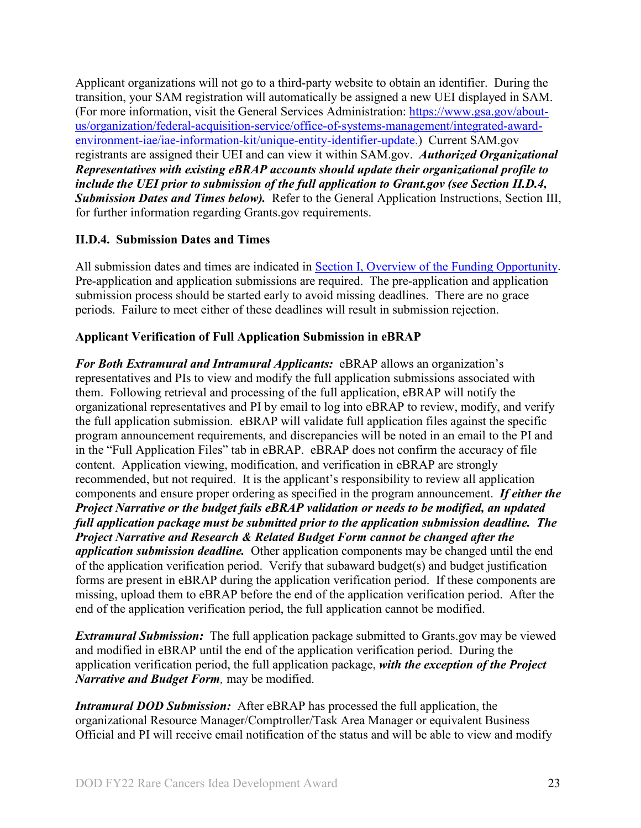Applicant organizations will not go to a third-party website to obtain an identifier. During the transition, your SAM registration will automatically be assigned a new UEI displayed in SAM. (For more information, visit the General Services Administration: [https://www.gsa.gov/about](https://www.gsa.gov/about-us/organization/federal-acquisition-service/office-of-systems-management/integrated-award-environment-iae/iae-information-kit/unique-entity-identifier-update)[us/organization/federal-acquisition-service/office-of-systems-management/integrated-award](https://www.gsa.gov/about-us/organization/federal-acquisition-service/office-of-systems-management/integrated-award-environment-iae/iae-information-kit/unique-entity-identifier-update)[environment-iae/iae-information-kit/unique-entity-identifier-update.](https://www.gsa.gov/about-us/organization/federal-acquisition-service/office-of-systems-management/integrated-award-environment-iae/iae-information-kit/unique-entity-identifier-update)) Current SAM.gov registrants are assigned their UEI and can view it within SAM.gov. *Authorized Organizational Representatives with existing eBRAP accounts should update their organizational profile to include the UEI prior to submission of the full application to Grant.gov (see Section II.D.4, Submission Dates and Times below).* Refer to the General Application Instructions, Section III, for further information regarding Grants.gov requirements.

# <span id="page-22-0"></span>**II.D.4. Submission Dates and Times**

All submission dates and times are indicated in [Section I, Overview of the Funding Opportunity.](#page-0-1) Pre-application and application submissions are required. The pre-application and application submission process should be started early to avoid missing deadlines. There are no grace periods. Failure to meet either of these deadlines will result in submission rejection.

# <span id="page-22-1"></span>**Applicant Verification of Full Application Submission in eBRAP**

*For Both Extramural and Intramural Applicants:* eBRAP allows an organization's representatives and PIs to view and modify the full application submissions associated with them. Following retrieval and processing of the full application, eBRAP will notify the organizational representatives and PI by email to log into eBRAP to review, modify, and verify the full application submission. eBRAP will validate full application files against the specific program announcement requirements, and discrepancies will be noted in an email to the PI and in the "Full Application Files" tab in eBRAP. eBRAP does not confirm the accuracy of file content. Application viewing, modification, and verification in eBRAP are strongly recommended, but not required. It is the applicant's responsibility to review all application components and ensure proper ordering as specified in the program announcement. *If either the Project Narrative or the budget fails eBRAP validation or needs to be modified, an updated full application package must be submitted prior to the application submission deadline. The Project Narrative and Research & Related Budget Form cannot be changed after the application submission deadline.* Other application components may be changed until the end of the [application verification period.](#page-0-0) Verify that subaward budget(s) and budget justification forms are present in eBRAP during the application verification period. If these components are missing, upload them to eBRAP before the end of the application verification period. After the end of the application verification period, the full application cannot be modified.

*Extramural Submission:* The full application package submitted to Grants.gov may be viewed and modified in eBRAP until the end of the application verification period. During the application verification period, the full application package, *with the exception of the Project Narrative and Budget Form,* may be modified.

*Intramural DOD Submission:* After eBRAP has processed the full application, the organizational Resource Manager/Comptroller/Task Area Manager or equivalent Business Official and PI will receive email notification of the status and will be able to view and modify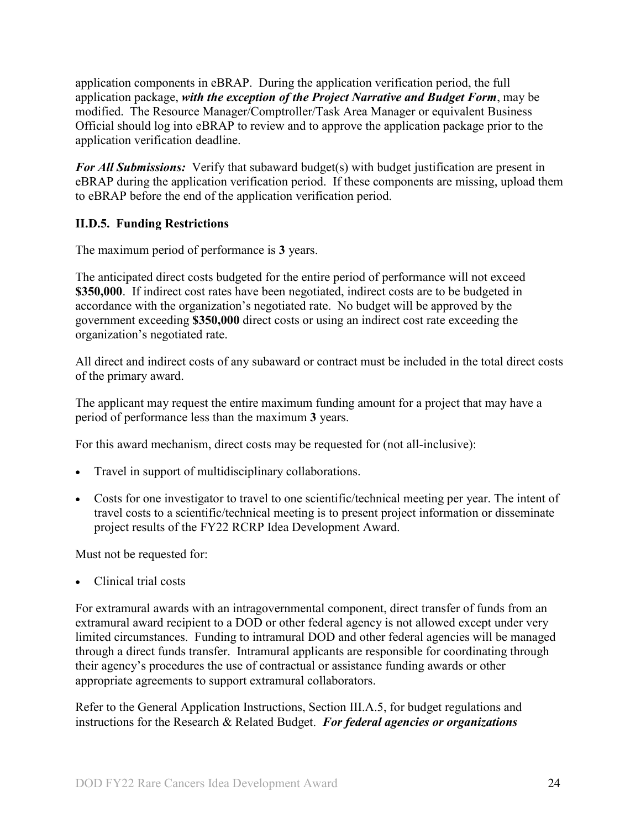application components in eBRAP. During the application verification period, the full application package, *with the exception of the Project Narrative and Budget Form*, may be modified. The Resource Manager/Comptroller/Task Area Manager or equivalent Business Official should log into eBRAP to review and to approve the application package prior to the application verification deadline.

*For All Submissions:* Verify that subaward budget(s) with budget justification are present in eBRAP during the application verification period. If these components are missing, upload them to eBRAP before the end of the application verification period.

### <span id="page-23-0"></span>**II.D.5. Funding Restrictions**

The maximum period of performance is **3** years.

The anticipated direct costs budgeted for the entire period of performance will not exceed **\$350,000**. If indirect cost rates have been negotiated, indirect costs are to be budgeted in accordance with the organization's negotiated rate. No budget will be approved by the government exceeding **\$350,000** direct costs or using an indirect cost rate exceeding the organization's negotiated rate.

All direct and indirect costs of any subaward or contract must be included in the total direct costs of the primary award.

The applicant may request the entire maximum funding amount for a project that may have a period of performance less than the maximum **3** years.

For this award mechanism, direct costs may be requested for (not all-inclusive):

- Travel in support of multidisciplinary collaborations.
- Costs for one investigator to travel to one scientific/technical meeting per year. The intent of travel costs to a scientific/technical meeting is to present project information or disseminate project results of the FY22 RCRP Idea Development Award.

Must not be requested for:

• Clinical trial costs

For extramural awards with an intragovernmental component, direct transfer of funds from an extramural award recipient to a DOD or other federal agency is not allowed except under very limited circumstances. Funding to intramural DOD and other federal agencies will be managed through a direct funds transfer. Intramural applicants are responsible for coordinating through their agency's procedures the use of contractual or assistance funding awards or other appropriate agreements to support extramural collaborators.

Refer to the General Application Instructions, Section III.A.5, for budget regulations and instructions for the Research & Related Budget. *For federal agencies or organizations*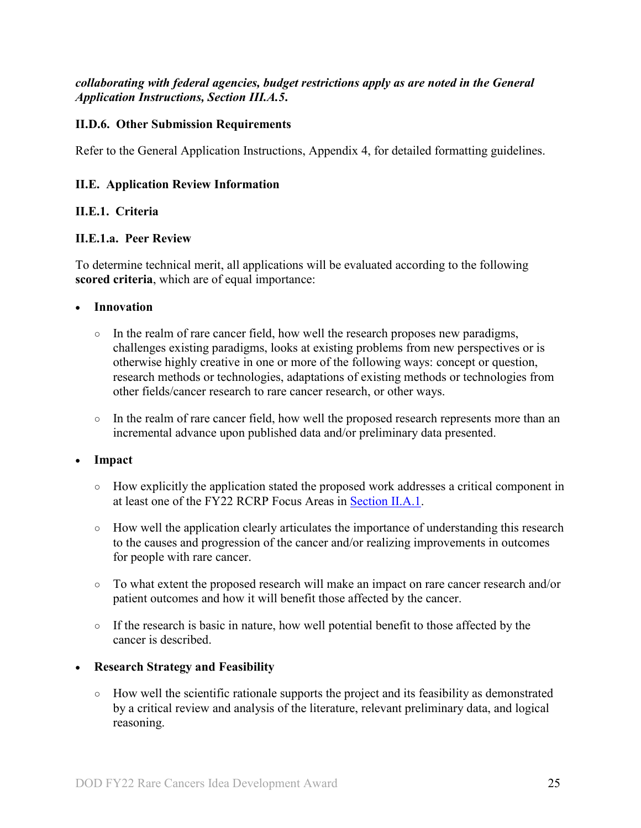*collaborating with federal agencies, budget restrictions apply as are noted in the General Application Instructions, Section III.A.5***.**

### <span id="page-24-0"></span>**II.D.6. Other Submission Requirements**

Refer to the General Application Instructions, Appendix 4, for detailed formatting guidelines.

#### <span id="page-24-1"></span>**II.E. Application Review Information**

#### <span id="page-24-2"></span>**II.E.1. Criteria**

#### **II.E.1.a. Peer Review**

To determine technical merit, all applications will be evaluated according to the following **scored criteria**, which are of equal importance:

#### • **Innovation**

- $\circ$  In the realm of rare cancer field, how well the research proposes new paradigms, challenges existing paradigms, looks at existing problems from new perspectives or is otherwise highly creative in one or more of the following ways: concept or question, research methods or technologies, adaptations of existing methods or technologies from other fields/cancer research to rare cancer research, or other ways.
- In the realm of rare cancer field, how well the proposed research represents more than an incremental advance upon published data and/or preliminary data presented.

#### • **Impact**

- How explicitly the application stated the proposed work addresses a critical component in at least one of the FY22 RCRP Focus Areas in [Section II.A.1.](#page-2-2)
- How well the application clearly articulates the importance of understanding this research to the causes and progression of the cancer and/or realizing improvements in outcomes for people with rare cancer.
- To what extent the proposed research will make an impact on rare cancer research and/or patient outcomes and how it will benefit those affected by the cancer.
- If the research is basic in nature, how well potential benefit to those affected by the cancer is described.

#### • **Research Strategy and Feasibility**

○ How well the scientific rationale supports the project and its feasibility as demonstrated by a critical review and analysis of the literature, relevant preliminary data, and logical reasoning.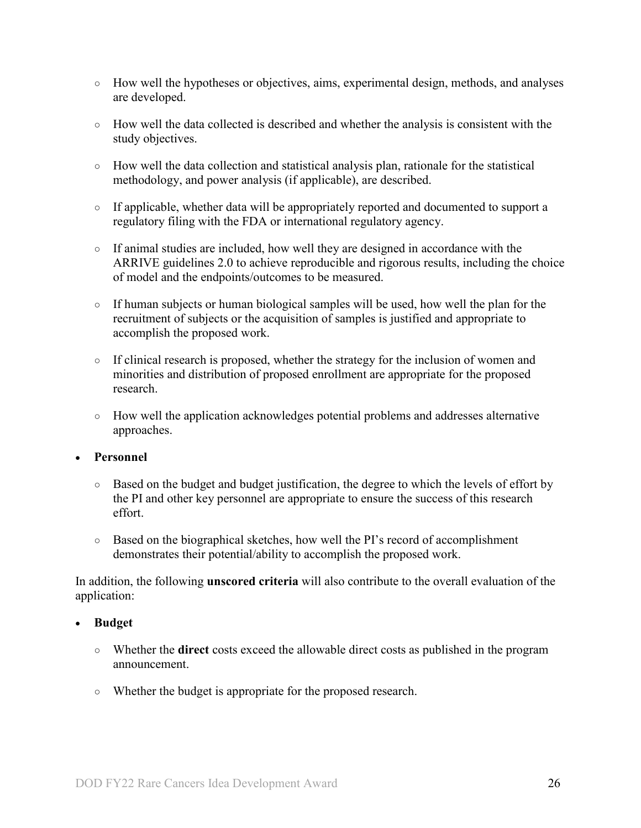- How well the hypotheses or objectives, aims, experimental design, methods, and analyses are developed.
- How well the data collected is described and whether the analysis is consistent with the study objectives.
- How well the data collection and statistical analysis plan, rationale for the statistical methodology, and power analysis (if applicable), are described.
- If applicable, whether data will be appropriately reported and documented to support a regulatory filing with the FDA or international regulatory agency.
- If animal studies are included, how well they are designed in accordance with the ARRIVE guidelines 2.0 to achieve reproducible and rigorous results, including the choice of model and the endpoints/outcomes to be measured.
- If human subjects or human biological samples will be used, how well the plan for the recruitment of subjects or the acquisition of samples is justified and appropriate to accomplish the proposed work.
- If clinical research is proposed, whether the strategy for the inclusion of women and minorities and distribution of proposed enrollment are appropriate for the proposed research.
- How well the application acknowledges potential problems and addresses alternative approaches.

### • **Personnel**

- Based on the budget and budget justification, the degree to which the levels of effort by the PI and other key personnel are appropriate to ensure the success of this research effort.
- Based on the biographical sketches, how well the PI's record of accomplishment demonstrates their potential/ability to accomplish the proposed work.

In addition, the following **unscored criteria** will also contribute to the overall evaluation of the application:

### • **Budget**

- Whether the **direct** costs exceed the allowable direct costs as published in the program announcement.
- Whether the budget is appropriate for the proposed research.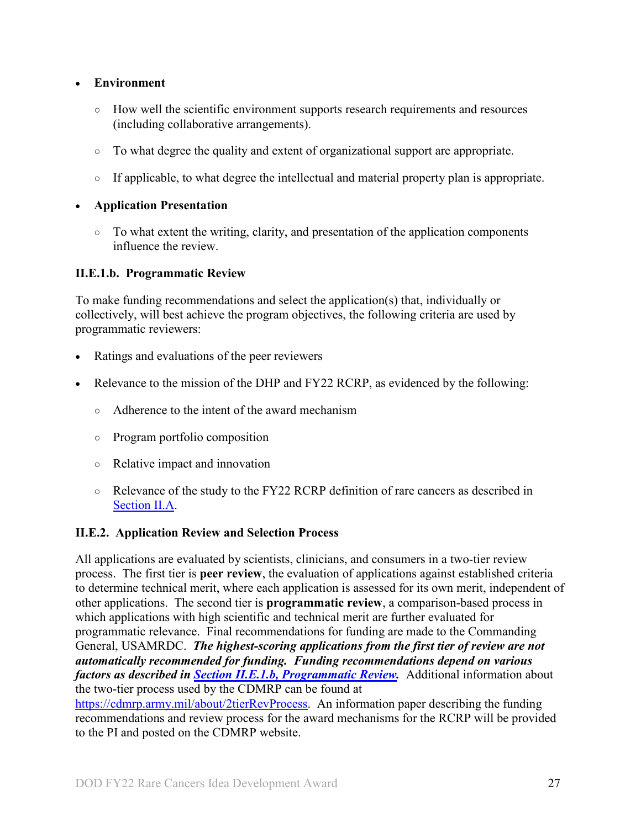### • **Environment**

- How well the scientific environment supports research requirements and resources (including collaborative arrangements).
- To what degree the quality and extent of organizational support are appropriate.
- If applicable, to what degree the intellectual and material property plan is appropriate.

#### • **Application Presentation**

 $\circ$  To what extent the writing, clarity, and presentation of the application components influence the review.

#### <span id="page-26-1"></span>**II.E.1.b. Programmatic Review**

To make funding recommendations and select the application(s) that, individually or collectively, will best achieve the program objectives, the following criteria are used by programmatic reviewers:

- Ratings and evaluations of the peer reviewers
- Relevance to the mission of the DHP and FY22 RCRP, as evidenced by the following:
	- Adherence to the intent of the award mechanism
	- Program portfolio composition
	- Relative impact and innovation
	- Relevance of the study to the FY22 RCRP definition of rare cancers as described in [Section II.A.](#page-2-3)

### <span id="page-26-0"></span>**II.E.2. Application Review and Selection Process**

All applications are evaluated by scientists, clinicians, and consumers in a two-tier review process. The first tier is **peer review**, the evaluation of applications against established criteria to determine technical merit, where each application is assessed for its own merit, independent of other applications. The second tier is **programmatic review**, a comparison-based process in which applications with high scientific and technical merit are further evaluated for programmatic relevance. Final recommendations for funding are made to the Commanding General, USAMRDC. *The highest-scoring applications from the first tier of review are not automatically recommended for funding. Funding recommendations depend on various factors as described in Section [II.E.1.b, Programmatic Review.](#page-26-1)* Additional information about the two-tier process used by the CDMRP can be found at [https://cdmrp.army.mil/about/2tierRevProcess.](http://cdmrp.army.mil/about/2tierRevProcess) An information paper describing the funding recommendations and review process for the award mechanisms for the RCRP will be provided

to the PI and posted on the CDMRP website.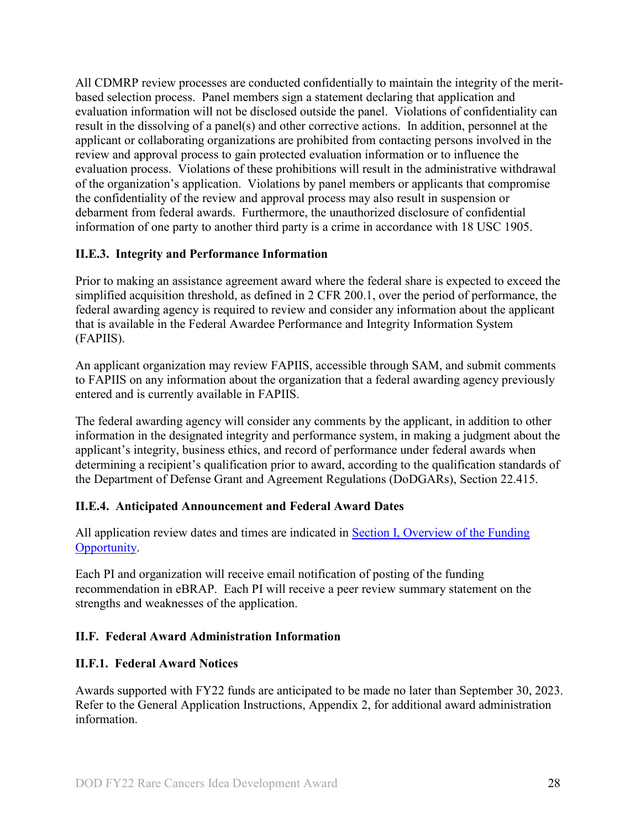All CDMRP review processes are conducted confidentially to maintain the integrity of the meritbased selection process. Panel members sign a statement declaring that application and evaluation information will not be disclosed outside the panel. Violations of confidentiality can result in the dissolving of a panel(s) and other corrective actions. In addition, personnel at the applicant or collaborating organizations are prohibited from contacting persons involved in the review and approval process to gain protected evaluation information or to influence the evaluation process. Violations of these prohibitions will result in the administrative withdrawal of the organization's application. Violations by panel members or applicants that compromise the confidentiality of the review and approval process may also result in suspension or debarment from federal awards. Furthermore, the unauthorized disclosure of confidential information of one party to another third party is a crime in accordance with 18 USC 1905.

### <span id="page-27-0"></span>**II.E.3. Integrity and Performance Information**

Prior to making an assistance agreement award where the federal share is expected to exceed the simplified acquisition threshold, as defined in 2 CFR 200.1, over the period of performance, the federal awarding agency is required to review and consider any information about the applicant that is available in the Federal Awardee Performance and Integrity Information System (FAPIIS).

An applicant organization may review FAPIIS, accessible through SAM, and submit comments to FAPIIS on any information about the organization that a federal awarding agency previously entered and is currently available in FAPIIS.

The federal awarding agency will consider any comments by the applicant, in addition to other information in the designated integrity and performance system, in making a judgment about the applicant's integrity, business ethics, and record of performance under federal awards when determining a recipient's qualification prior to award, according to the qualification standards of the Department of Defense Grant and Agreement Regulations (DoDGARs), Section 22.415.

### <span id="page-27-1"></span>**II.E.4. Anticipated Announcement and Federal Award Dates**

All application review dates and times are indicated in Section I, Overview of the Funding [Opportunity.](#page-0-1)

Each PI and organization will receive email notification of posting of the funding recommendation in eBRAP. Each PI will receive a peer review summary statement on the strengths and weaknesses of the application.

### <span id="page-27-2"></span>**II.F. Federal Award Administration Information**

### <span id="page-27-3"></span>**II.F.1. Federal Award Notices**

Awards supported with FY22 funds are anticipated to be made no later than September 30, 2023. Refer to the General Application Instructions, Appendix 2, for additional award administration information.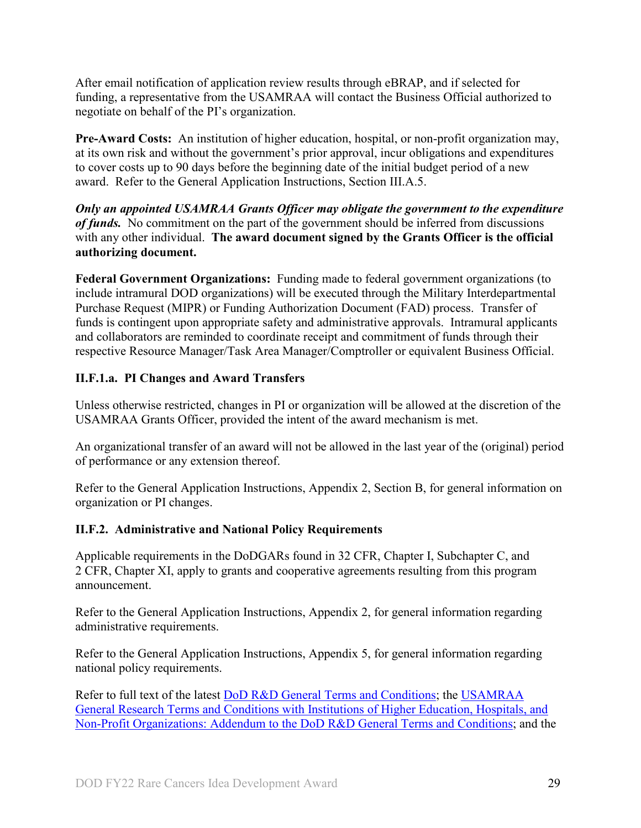After email notification of application review results through eBRAP, and if selected for funding, a representative from the USAMRAA will contact the Business Official authorized to negotiate on behalf of the PI's organization.

**Pre-Award Costs:** An institution of higher education, hospital, or non-profit organization may, at its own risk and without the government's prior approval, incur obligations and expenditures to cover costs up to 90 days before the beginning date of the initial budget period of a new award. Refer to the General Application Instructions, Section III.A.5.

*Only an appointed USAMRAA Grants Officer may obligate the government to the expenditure of funds.* No commitment on the part of the government should be inferred from discussions with any other individual. **The award document signed by the Grants Officer is the official authorizing document.**

Federal Government Organizations: Funding made to federal government organizations (to include intramural DOD organizations) will be executed through the Military Interdepartmental Purchase Request (MIPR) or Funding Authorization Document (FAD) process. Transfer of funds is contingent upon appropriate safety and administrative approvals. Intramural applicants and collaborators are reminded to coordinate receipt and commitment of funds through their respective Resource Manager/Task Area Manager/Comptroller or equivalent Business Official.

# **II.F.1.a. PI Changes and Award Transfers**

Unless otherwise restricted, changes in PI or organization will be allowed at the discretion of the USAMRAA Grants Officer, provided the intent of the award mechanism is met.

An organizational transfer of an award will not be allowed in the last year of the (original) period of performance or any extension thereof.

Refer to the General Application Instructions, Appendix 2, Section B, for general information on organization or PI changes.

### <span id="page-28-0"></span>**II.F.2. Administrative and National Policy Requirements**

Applicable requirements in the DoDGARs found in 32 CFR, Chapter I, Subchapter C, and 2 CFR, Chapter XI, apply to grants and cooperative agreements resulting from this program announcement.

Refer to the General Application Instructions, Appendix 2, for general information regarding administrative requirements.

Refer to the General Application Instructions, Appendix 5, for general information regarding national policy requirements.

Refer to full text of the latest DoD [R&D General Terms and Conditions;](https://www.onr.navy.mil/work-with-us/manage-your-award/manage-grant-award/grants-terms-conditions) the [USAMRAA](https://www.usamraa.army.mil/Pages/Resources.aspx)  [General Research Terms and Conditions with Institutions of Higher Education, Hospitals, and](https://www.usamraa.army.mil/Pages/Resources.aspx)  [Non-Profit Organizations: Addendum to the DoD](https://www.usamraa.army.mil/Pages/Resources.aspx) R&D General Terms and Conditions; and the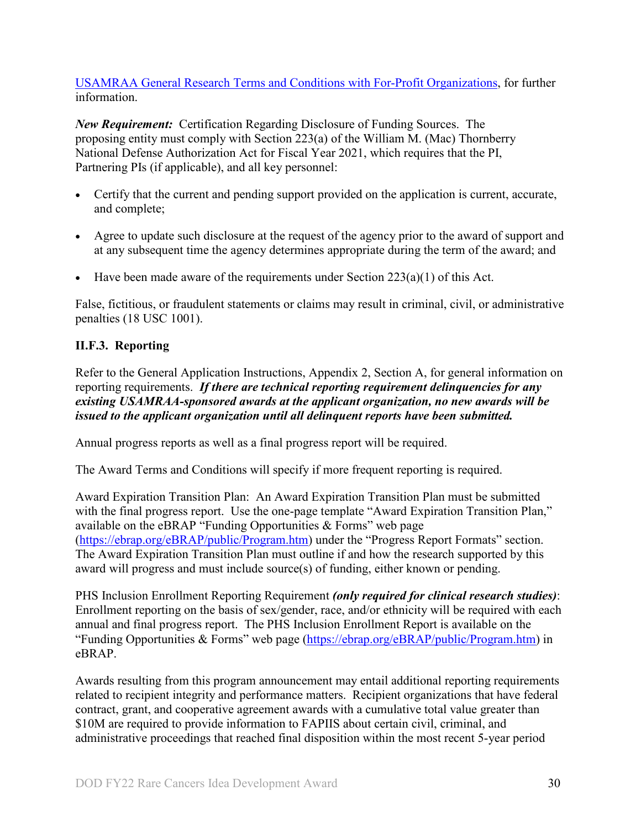[USAMRAA General Research Terms and Conditions with For-Profit Organizations,](https://www.usamraa.army.mil/Pages/Resources.aspx) for further information.

*New Requirement:* Certification Regarding Disclosure of Funding Sources. The proposing entity must comply with Section 223(a) of the William M. (Mac) Thornberry National Defense Authorization Act for Fiscal Year 2021, which requires that the PI, Partnering PIs (if applicable), and all key personnel:

- Certify that the current and pending support provided on the application is current, accurate, and complete;
- Agree to update such disclosure at the request of the agency prior to the award of support and at any subsequent time the agency determines appropriate during the term of the award; and
- Have been made aware of the requirements under Section  $223(a)(1)$  of this Act.

False, fictitious, or fraudulent statements or claims may result in criminal, civil, or administrative penalties (18 USC 1001).

# <span id="page-29-0"></span>**II.F.3. Reporting**

Refer to the General Application Instructions, Appendix 2, Section A, for general information on reporting requirements. *If there are technical reporting requirement delinquencies for any existing USAMRAA-sponsored awards at the applicant organization, no new awards will be issued to the applicant organization until all delinquent reports have been submitted.*

Annual progress reports as well as a final progress report will be required.

The Award Terms and Conditions will specify if more frequent reporting is required.

Award Expiration Transition Plan: An Award Expiration Transition Plan must be submitted with the final progress report. Use the one-page template "Award Expiration Transition Plan," available on the eBRAP "Funding Opportunities  $\&$  Forms" web page [\(https://ebrap.org/eBRAP/public/Program.htm\)](https://ebrap.org/eBRAP/public/Program.htm) under the "Progress Report Formats" section. The Award Expiration Transition Plan must outline if and how the research supported by this award will progress and must include source(s) of funding, either known or pending.

PHS Inclusion Enrollment Reporting Requirement *(only required for clinical research studies)*: Enrollment reporting on the basis of sex/gender, race, and/or ethnicity will be required with each annual and final progress report. The PHS Inclusion Enrollment Report is available on the "Funding Opportunities & Forms" web page [\(https://ebrap.org/eBRAP/public/Program.htm\)](https://ebrap.org/eBRAP/public/Program.htm) in eBRAP.

Awards resulting from this program announcement may entail additional reporting requirements related to recipient integrity and performance matters. Recipient organizations that have federal contract, grant, and cooperative agreement awards with a cumulative total value greater than \$10M are required to provide information to FAPIIS about certain civil, criminal, and administrative proceedings that reached final disposition within the most recent 5-year period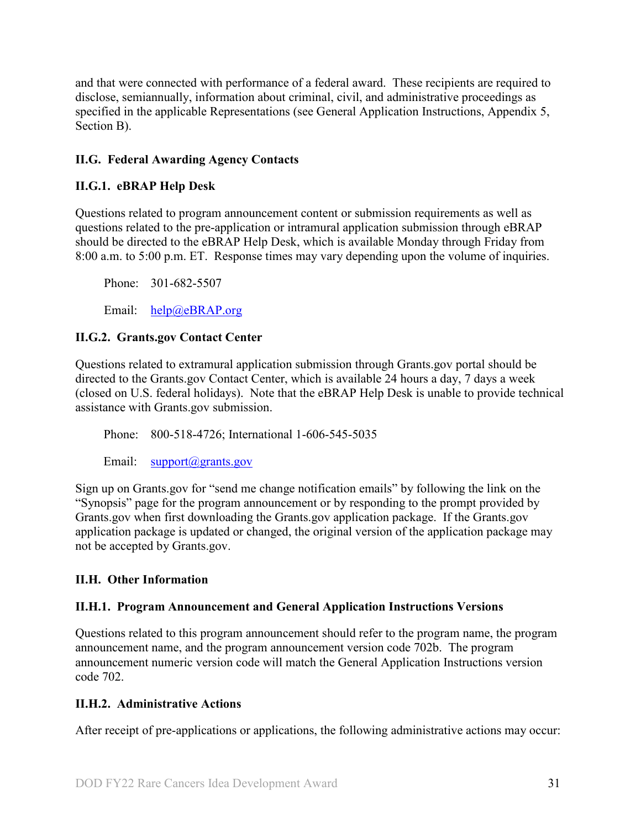and that were connected with performance of a federal award. These recipients are required to disclose, semiannually, information about criminal, civil, and administrative proceedings as specified in the applicable Representations (see General Application Instructions, Appendix 5, Section B).

# <span id="page-30-0"></span>**II.G. Federal Awarding Agency Contacts**

### <span id="page-30-1"></span>**II.G.1. eBRAP Help Desk**

Questions related to program announcement content or submission requirements as well as questions related to the pre-application or intramural application submission through eBRAP should be directed to the eBRAP Help Desk, which is available Monday through Friday from 8:00 a.m. to 5:00 p.m. ET. Response times may vary depending upon the volume of inquiries.

Phone: 301-682-5507

Email: [help@eBRAP.org](mailto:help@eBRAP.org)

#### <span id="page-30-2"></span>**II.G.2. Grants.gov Contact Center**

Questions related to extramural application submission through Grants.gov portal should be directed to the Grants.gov Contact Center, which is available 24 hours a day, 7 days a week (closed on U.S. federal holidays). Note that the eBRAP Help Desk is unable to provide technical assistance with Grants.gov submission.

Phone: 800-518-4726; International 1-606-545-5035

Email: [support@grants.gov](mailto:support@grants.gov)

Sign up on Grants.gov for "send me change notification emails" by following the link on the "Synopsis" page for the program announcement or by responding to the prompt provided by Grants.gov when first downloading the Grants.gov application package. If the Grants.gov application package is updated or changed, the original version of the application package may not be accepted by Grants.gov.

### <span id="page-30-3"></span>**II.H. Other Information**

### <span id="page-30-4"></span>**II.H.1. Program Announcement and General Application Instructions Versions**

Questions related to this program announcement should refer to the program name, the program announcement name, and the program announcement version code 702b. The program announcement numeric version code will match the General Application Instructions version code 702.

### <span id="page-30-5"></span>**II.H.2. Administrative Actions**

After receipt of pre-applications or applications, the following administrative actions may occur: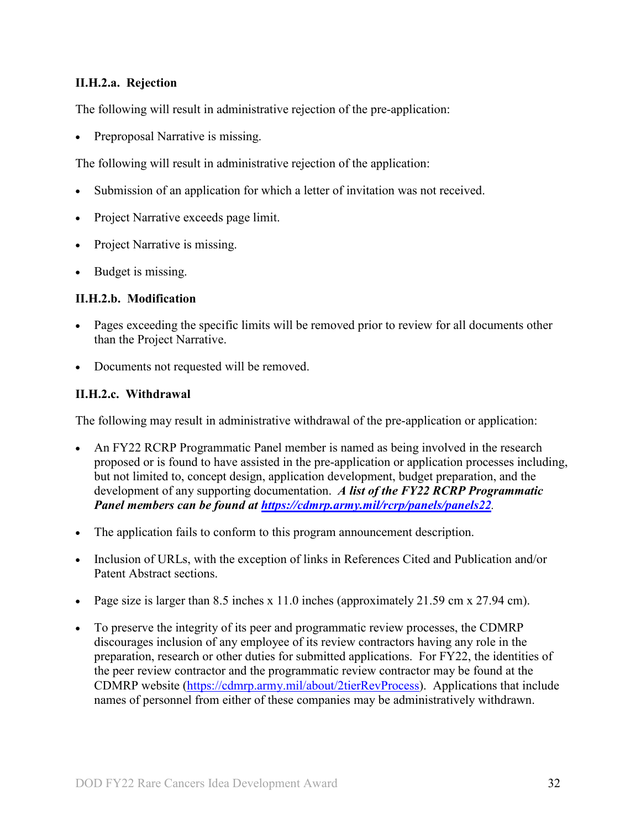### **II.H.2.a. Rejection**

The following will result in administrative rejection of the pre-application:

Preproposal Narrative is missing.

The following will result in administrative rejection of the application:

- Submission of an application for which a letter of invitation was not received.
- Project Narrative exceeds page limit.
- Project Narrative is missing.
- Budget is missing.

#### **II.H.2.b. Modification**

- Pages exceeding the specific limits will be removed prior to review for all documents other than the Project Narrative.
- Documents not requested will be removed.

#### <span id="page-31-0"></span>**II.H.2.c. Withdrawal**

The following may result in administrative withdrawal of the pre-application or application:

- An FY22 RCRP Programmatic Panel member is named as being involved in the research proposed or is found to have assisted in the pre-application or application processes including, but not limited to, concept design, application development, budget preparation, and the development of any supporting documentation. *A list of the FY22 RCRP Programmatic Panel members can be found at<https://cdmrp.army.mil/rcrp/panels/panels22>.*
- The application fails to conform to this program announcement description.
- Inclusion of URLs, with the exception of links in References Cited and Publication and/or Patent Abstract sections.
- Page size is larger than 8.5 inches x 11.0 inches (approximately 21.59 cm x 27.94 cm).
- To preserve the integrity of its peer and programmatic review processes, the CDMRP discourages inclusion of any employee of its review contractors having any role in the preparation, research or other duties for submitted applications. For FY22, the identities of the peer review contractor and the programmatic review contractor may be found at the CDMRP website [\(https://cdmrp.army.mil/about/2tierRevProcess\)](https://cdmrp.army.mil/about/2tierRevProcess). Applications that include names of personnel from either of these companies may be administratively withdrawn.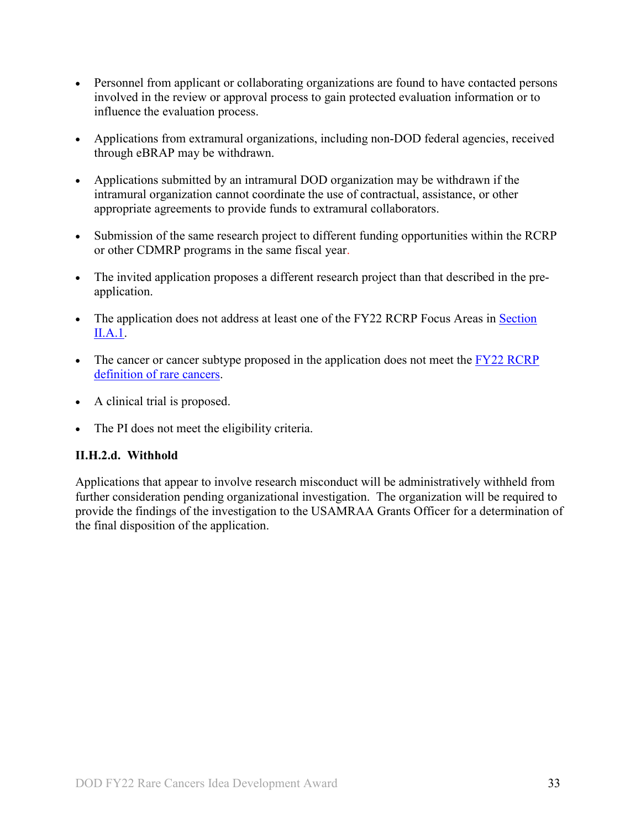- Personnel from applicant or collaborating organizations are found to have contacted persons involved in the review or approval process to gain protected evaluation information or to influence the evaluation process.
- Applications from extramural organizations, including non-DOD federal agencies, received through eBRAP may be withdrawn.
- Applications submitted by an intramural DOD organization may be withdrawn if the intramural organization cannot coordinate the use of contractual, assistance, or other appropriate agreements to provide funds to extramural collaborators.
- Submission of the same research project to different funding opportunities within the RCRP or other CDMRP programs in the same fiscal year.
- The invited application proposes a different research project than that described in the preapplication.
- The application does not address at least one of the FY22 RCRP Focus Areas in Section [II.A.1.](#page-2-2)
- The cancer or cancer subtype proposed in the application does not meet the FY22 RCRP [definition of rare cancers.](#page-2-3)
- A clinical trial is proposed.
- The PI does not meet the eligibility criteria.

### **II.H.2.d. Withhold**

Applications that appear to involve research misconduct will be administratively withheld from further consideration pending organizational investigation. The organization will be required to provide the findings of the investigation to the USAMRAA Grants Officer for a determination of the final disposition of the application.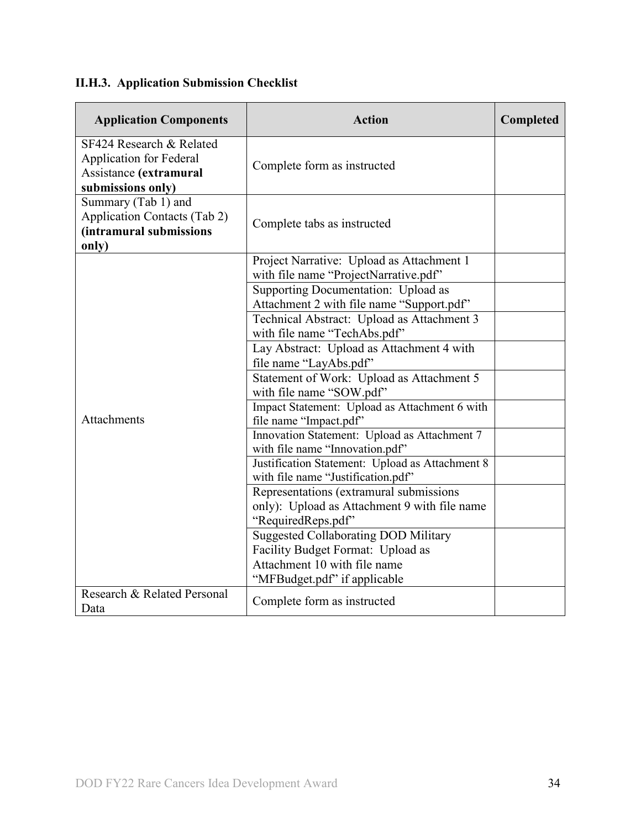# <span id="page-33-0"></span>**II.H.3. Application Submission Checklist**

| <b>Application Components</b>                                                                             | <b>Action</b>                                                                                                    | Completed |
|-----------------------------------------------------------------------------------------------------------|------------------------------------------------------------------------------------------------------------------|-----------|
| SF424 Research & Related<br><b>Application for Federal</b><br>Assistance (extramural<br>submissions only) | Complete form as instructed                                                                                      |           |
| Summary (Tab 1) and<br><b>Application Contacts (Tab 2)</b><br>(intramural submissions<br>only)            | Complete tabs as instructed                                                                                      |           |
|                                                                                                           | Project Narrative: Upload as Attachment 1<br>with file name "ProjectNarrative.pdf"                               |           |
|                                                                                                           | Supporting Documentation: Upload as<br>Attachment 2 with file name "Support.pdf"                                 |           |
|                                                                                                           | Technical Abstract: Upload as Attachment 3<br>with file name "TechAbs.pdf"                                       |           |
|                                                                                                           | Lay Abstract: Upload as Attachment 4 with<br>file name "LayAbs.pdf"                                              |           |
|                                                                                                           | Statement of Work: Upload as Attachment 5<br>with file name "SOW.pdf"                                            |           |
| Attachments                                                                                               | Impact Statement: Upload as Attachment 6 with<br>file name "Impact.pdf"                                          |           |
|                                                                                                           | Innovation Statement: Upload as Attachment 7<br>with file name "Innovation.pdf"                                  |           |
|                                                                                                           | Justification Statement: Upload as Attachment 8<br>with file name "Justification.pdf"                            |           |
|                                                                                                           | Representations (extramural submissions<br>only): Upload as Attachment 9 with file name<br>"RequiredReps.pdf"    |           |
|                                                                                                           | <b>Suggested Collaborating DOD Military</b><br>Facility Budget Format: Upload as<br>Attachment 10 with file name |           |
|                                                                                                           | "MFBudget.pdf" if applicable                                                                                     |           |
| Research & Related Personal<br>Data                                                                       | Complete form as instructed                                                                                      |           |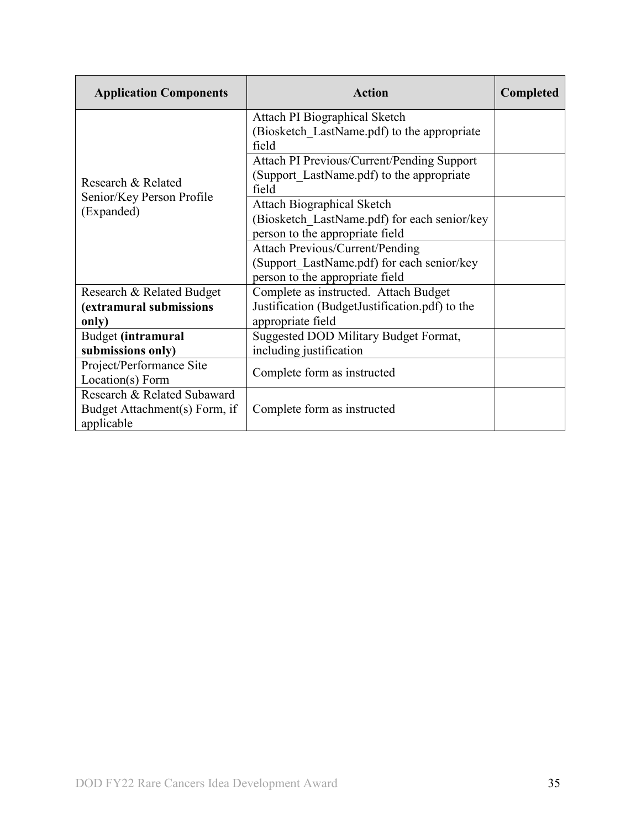| <b>Application Components</b>                                              | Action                                                                                                                  | <b>Completed</b> |
|----------------------------------------------------------------------------|-------------------------------------------------------------------------------------------------------------------------|------------------|
|                                                                            | Attach PI Biographical Sketch<br>(Biosketch LastName.pdf) to the appropriate<br>field                                   |                  |
| Research & Related                                                         | Attach PI Previous/Current/Pending Support<br>(Support LastName.pdf) to the appropriate<br>field                        |                  |
| Senior/Key Person Profile<br>(Expanded)                                    | <b>Attach Biographical Sketch</b><br>(Biosketch LastName.pdf) for each senior/key<br>person to the appropriate field    |                  |
|                                                                            | <b>Attach Previous/Current/Pending</b><br>(Support LastName.pdf) for each senior/key<br>person to the appropriate field |                  |
| Research & Related Budget<br>(extramural submissions<br>only)              | Complete as instructed. Attach Budget<br>Justification (BudgetJustification.pdf) to the<br>appropriate field            |                  |
| Budget (intramural<br>submissions only)                                    | Suggested DOD Military Budget Format,<br>including justification                                                        |                  |
| Project/Performance Site<br>Location(s) Form                               | Complete form as instructed                                                                                             |                  |
| Research & Related Subaward<br>Budget Attachment(s) Form, if<br>applicable | Complete form as instructed                                                                                             |                  |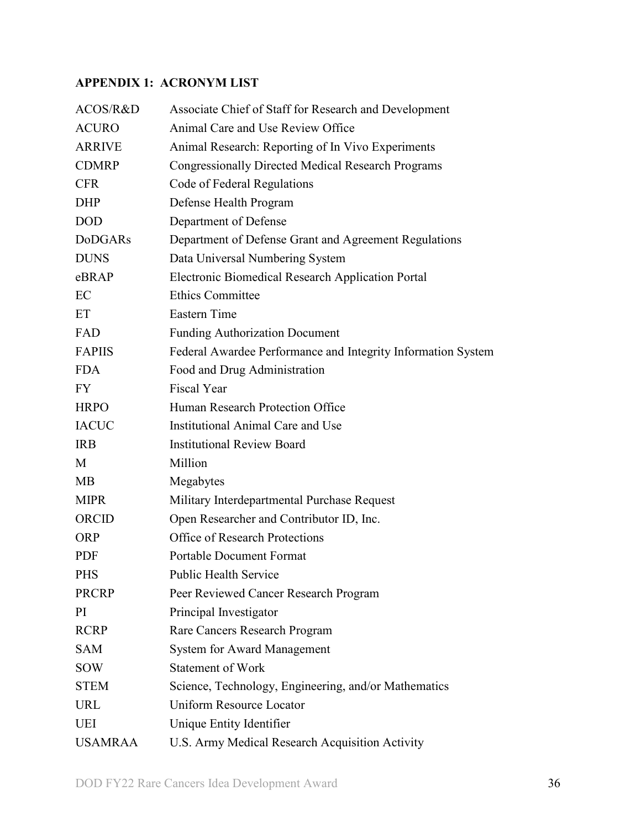# <span id="page-35-0"></span>**APPENDIX 1: ACRONYM LIST**

| ACOS/R&D       | Associate Chief of Staff for Research and Development        |
|----------------|--------------------------------------------------------------|
| <b>ACURO</b>   | Animal Care and Use Review Office                            |
| <b>ARRIVE</b>  | Animal Research: Reporting of In Vivo Experiments            |
| <b>CDMRP</b>   | <b>Congressionally Directed Medical Research Programs</b>    |
| <b>CFR</b>     | Code of Federal Regulations                                  |
| <b>DHP</b>     | Defense Health Program                                       |
| <b>DOD</b>     | Department of Defense                                        |
| <b>DoDGARs</b> | Department of Defense Grant and Agreement Regulations        |
| <b>DUNS</b>    | Data Universal Numbering System                              |
| eBRAP          | Electronic Biomedical Research Application Portal            |
| EC             | <b>Ethics Committee</b>                                      |
| ET             | <b>Eastern Time</b>                                          |
| FAD            | <b>Funding Authorization Document</b>                        |
| <b>FAPIIS</b>  | Federal Awardee Performance and Integrity Information System |
| <b>FDA</b>     | Food and Drug Administration                                 |
| <b>FY</b>      | <b>Fiscal Year</b>                                           |
| <b>HRPO</b>    | Human Research Protection Office                             |
| <b>IACUC</b>   | Institutional Animal Care and Use                            |
| <b>IRB</b>     | <b>Institutional Review Board</b>                            |
| M              | Million                                                      |
| MB             | Megabytes                                                    |
| <b>MIPR</b>    | Military Interdepartmental Purchase Request                  |
| ORCID          | Open Researcher and Contributor ID, Inc.                     |
| <b>ORP</b>     | <b>Office of Research Protections</b>                        |
| <b>PDF</b>     | <b>Portable Document Format</b>                              |
| <b>PHS</b>     | Public Health Service                                        |
| <b>PRCRP</b>   | Peer Reviewed Cancer Research Program                        |
| PI             | Principal Investigator                                       |
| <b>RCRP</b>    | Rare Cancers Research Program                                |
| <b>SAM</b>     | <b>System for Award Management</b>                           |
| <b>SOW</b>     | <b>Statement of Work</b>                                     |
| <b>STEM</b>    | Science, Technology, Engineering, and/or Mathematics         |
| <b>URL</b>     | <b>Uniform Resource Locator</b>                              |
| UEI            | Unique Entity Identifier                                     |
| <b>USAMRAA</b> | U.S. Army Medical Research Acquisition Activity              |